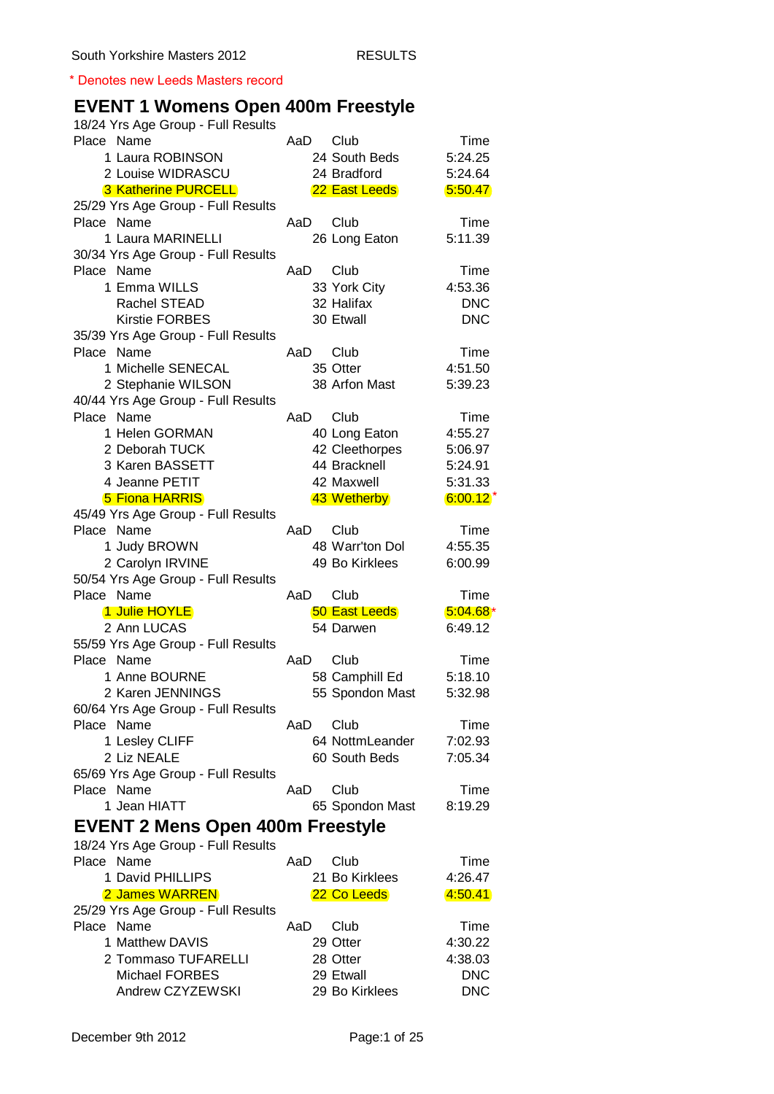\* Denotes new Leeds Masters record

## **EVENT 1 Womens Open 400m Freestyle**

| 18/24 Yrs Age Group - Full Results               |     |                      |            |
|--------------------------------------------------|-----|----------------------|------------|
| Place Name                                       | AaD | Club                 | Time       |
| 1 Laura ROBINSON                                 |     | 24 South Beds        | 5:24.25    |
| 2 Louise WIDRASCU                                |     | 24 Bradford          | 5:24.64    |
| <b>3 Katherine PURCELL</b>                       |     | 22 East Leeds        | 5:50.47    |
| 25/29 Yrs Age Group - Full Results               |     |                      |            |
| Place Name                                       | AaD | Club                 | Time       |
| 1 Laura MARINELLI                                |     | 26 Long Eaton        | 5:11.39    |
| 30/34 Yrs Age Group - Full Results               |     |                      |            |
| Place Name                                       | AaD | Club                 | Time       |
| 1 Emma WILLS                                     |     | 33 York City         | 4:53.36    |
| Rachel STEAD                                     |     | 32 Halifax           | <b>DNC</b> |
| <b>Kirstie FORBES</b>                            |     | 30 Etwall            | <b>DNC</b> |
| 35/39 Yrs Age Group - Full Results               |     |                      |            |
| Place Name                                       | AaD | Club                 | Time       |
| 1 Michelle SENECAL                               |     | 35 Otter             | 4:51.50    |
| 2 Stephanie WILSON                               |     | 38 Arfon Mast        | 5:39.23    |
| 40/44 Yrs Age Group - Full Results               |     |                      |            |
| Place Name                                       | AaD | Club                 | Time       |
| 1 Helen GORMAN                                   |     | 40 Long Eaton        | 4:55.27    |
| 2 Deborah TUCK                                   |     | 42 Cleethorpes       | 5:06.97    |
| 3 Karen BASSETT                                  |     | 44 Bracknell         | 5:24.91    |
| 4 Jeanne PETIT                                   |     | 42 Maxwell           | 5:31.33    |
| <b>5 Fiona HARRIS</b>                            |     | 43 Wetherby          | $6:00.12*$ |
| 45/49 Yrs Age Group - Full Results               |     |                      |            |
| Place Name                                       | AaD | Club                 | Time       |
| 1 Judy BROWN                                     |     | 48 Warr'ton Dol      | 4:55.35    |
| 2 Carolyn IRVINE                                 |     | 49 Bo Kirklees       | 6:00.99    |
| 50/54 Yrs Age Group - Full Results<br>Place Name | AaD | Club                 | Time       |
| 1 Julie HOYLE                                    |     | <b>50 East Leeds</b> | $5.04.68*$ |
| 2 Ann LUCAS                                      |     | 54 Darwen            | 6:49.12    |
| 55/59 Yrs Age Group - Full Results               |     |                      |            |
| Place Name                                       | AaD | Club                 | Time       |
| 1 Anne BOURNE                                    |     | 58 Camphill Ed       | 5:18.10    |
| 2 Karen JENNINGS                                 |     | 55 Spondon Mast      | 5:32.98    |
| 60/64 Yrs Age Group - Full Results               |     |                      |            |
| Place Name                                       | AaD | Club                 | Time       |
| 1 Lesley CLIFF                                   |     | 64 NottmLeander      | 7:02.93    |
| 2 Liz NEALE                                      |     | 60 South Beds        | 7:05.34    |
| 65/69 Yrs Age Group - Full Results               |     |                      |            |
| Place Name                                       | AaD | Club                 | Time       |
| 1 Jean HIATT                                     |     | 65 Spondon Mast      | 8:19.29    |
| <b>EVENT 2 Mens Open 400m Freestyle</b>          |     |                      |            |
| 18/24 Yrs Age Group - Full Results               |     |                      |            |
| Place Name                                       | AaD | Club                 | Time       |
| 1 David PHILLIPS                                 |     | 21 Bo Kirklees       | 4:26.47    |
| 2 James WARREN                                   |     | 22 Co Leeds          | 4.50.41    |
| 25/29 Yrs Age Group - Full Results               |     |                      |            |
| Place Name                                       | AaD | Club                 | Time       |
| 1 Matthew DAVIS                                  |     | 29 Otter             | 4:30.22    |
| 2 Tommaso TUFARELLI                              |     | 28 Otter             | 4:38.03    |
| <b>Michael FORBES</b>                            |     | 29 Etwall            | <b>DNC</b> |
| Andrew CZYZEWSKI                                 |     | 29 Bo Kirklees       | <b>DNC</b> |
|                                                  |     |                      |            |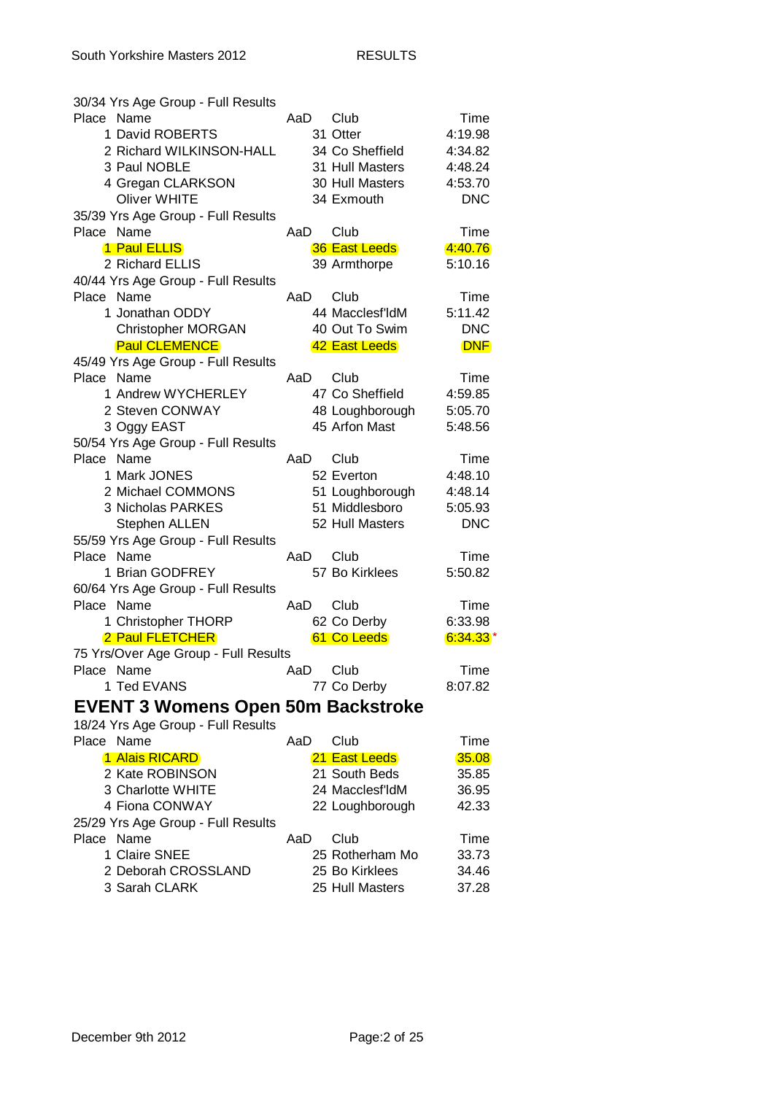| 30/34 Yrs Age Group - Full Results        |     |                      |            |
|-------------------------------------------|-----|----------------------|------------|
| Place Name                                | AaD | Club                 | Time       |
| 1 David ROBERTS                           |     | 31 Otter             | 4:19.98    |
| 2 Richard WILKINSON-HALL                  |     | 34 Co Sheffield      | 4:34.82    |
| 3 Paul NOBLE                              |     | 31 Hull Masters      | 4:48.24    |
| 4 Gregan CLARKSON                         |     | 30 Hull Masters      | 4:53.70    |
| <b>Oliver WHITE</b>                       |     | 34 Exmouth           | <b>DNC</b> |
| 35/39 Yrs Age Group - Full Results        |     |                      |            |
| Place Name                                | AaD | Club                 | Time       |
| 1 Paul ELLIS                              |     | <b>36 East Leeds</b> | 4:40.76    |
| 2 Richard ELLIS                           |     | 39 Armthorpe         | 5:10.16    |
| 40/44 Yrs Age Group - Full Results        |     |                      |            |
| Place Name                                | AaD | Club                 | Time       |
| 1 Jonathan ODDY                           |     | 44 Macclesf'ldM      | 5:11.42    |
| <b>Christopher MORGAN</b>                 |     | 40 Out To Swim       | <b>DNC</b> |
| <b>Paul CLEMENCE</b>                      |     | 42 East Leeds        | <b>DNF</b> |
| 45/49 Yrs Age Group - Full Results        |     |                      |            |
| Place Name                                | AaD | Club                 | Time       |
| 1 Andrew WYCHERLEY                        |     | 47 Co Sheffield      | 4:59.85    |
| 2 Steven CONWAY                           |     | 48 Loughborough      | 5:05.70    |
| 3 Oggy EAST                               |     | 45 Arfon Mast        | 5:48.56    |
| 50/54 Yrs Age Group - Full Results        |     |                      |            |
| Place Name                                | AaD | Club                 | Time       |
| 1 Mark JONES                              |     | 52 Everton           | 4:48.10    |
| 2 Michael COMMONS                         |     | 51 Loughborough      | 4:48.14    |
| 3 Nicholas PARKES                         |     | 51 Middlesboro       | 5:05.93    |
| <b>Stephen ALLEN</b>                      |     | 52 Hull Masters      | <b>DNC</b> |
| 55/59 Yrs Age Group - Full Results        |     |                      |            |
| Place Name                                | AaD | Club                 | Time       |
| 1 Brian GODFREY                           |     | 57 Bo Kirklees       | 5:50.82    |
| 60/64 Yrs Age Group - Full Results        |     |                      |            |
| Place Name                                | AaD | Club                 | Time       |
| 1 Christopher THORP                       |     | 62 Co Derby          | 6:33.98    |
| 2 Paul FLETCHER                           |     | 61 Co Leeds          | $6:34.33*$ |
| 75 Yrs/Over Age Group - Full Results      |     |                      |            |
| Place Name                                | AaD | Club                 | Time       |
| 1 Ted EVANS                               |     | 77 Co Derby          | 8:07.82    |
|                                           |     |                      |            |
| <b>EVENT 3 Womens Open 50m Backstroke</b> |     |                      |            |
| 18/24 Yrs Age Group - Full Results        |     |                      |            |
| Place Name                                | AaD | Club                 | Time       |
| 1 Alais RICARD                            |     | 21 East Leeds        | 35.08      |
| 2 Kate ROBINSON                           |     | 21 South Beds        | 35.85      |
| 3 Charlotte WHITE                         |     | 24 Macclesf'ldM      | 36.95      |
| 4 Fiona CONWAY                            |     | 22 Loughborough      | 42.33      |
| 25/29 Yrs Age Group - Full Results        |     |                      |            |
| Place Name                                | AaD | Club                 | Time       |
| 1 Claire SNEE                             |     | 25 Rotherham Mo      | 33.73      |
| 2 Deborah CROSSLAND                       |     | 25 Bo Kirklees       | 34.46      |
| 3 Sarah CLARK                             |     | 25 Hull Masters      | 37.28      |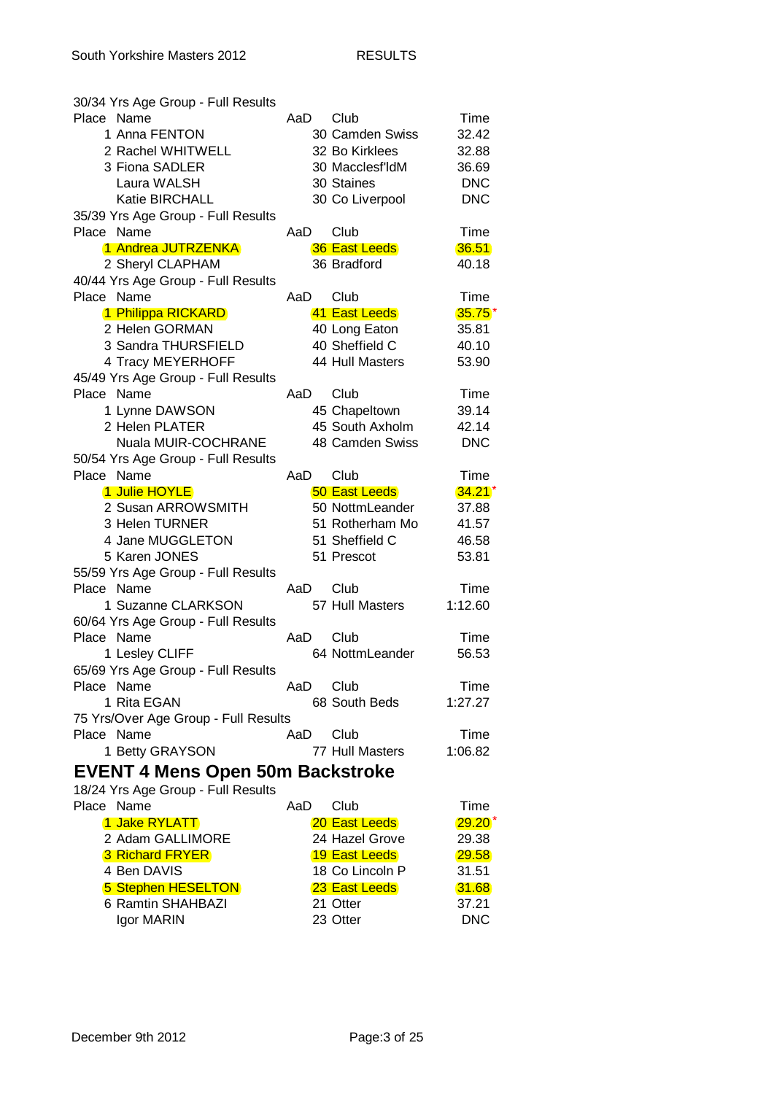| 30/34 Yrs Age Group - Full Results      |     |                      |              |
|-----------------------------------------|-----|----------------------|--------------|
| Place Name                              | AaD | Club                 | Time         |
| 1 Anna FENTON                           |     | 30 Camden Swiss      | 32.42        |
| 2 Rachel WHITWELL                       |     | 32 Bo Kirklees       | 32.88        |
| 3 Fiona SADLER                          |     | 30 Macclesf'ldM      | 36.69        |
|                                         |     |                      |              |
| Laura WALSH                             |     | 30 Staines           | <b>DNC</b>   |
| Katie BIRCHALL                          |     | 30 Co Liverpool      | <b>DNC</b>   |
| 35/39 Yrs Age Group - Full Results      |     |                      |              |
| Place Name                              | AaD | Club                 | Time         |
| 1 Andrea JUTRZENKA                      |     | <b>36 East Leeds</b> | 36.51        |
| 2 Sheryl CLAPHAM                        |     | 36 Bradford          | 40.18        |
| 40/44 Yrs Age Group - Full Results      |     |                      |              |
| Place Name                              | AaD | Club                 | Time         |
| 1 Philippa RICKARD                      |     | 41 East Leeds        | $35.75*$     |
| 2 Helen GORMAN                          |     | 40 Long Eaton        | 35.81        |
| 3 Sandra THURSFIELD                     |     | 40 Sheffield C       |              |
|                                         |     |                      | 40.10        |
| 4 Tracy MEYERHOFF                       |     | 44 Hull Masters      | 53.90        |
| 45/49 Yrs Age Group - Full Results      |     |                      |              |
| Place Name                              | AaD | Club                 | Time         |
| 1 Lynne DAWSON                          |     | 45 Chapeltown        | 39.14        |
| 2 Helen PLATER                          |     | 45 South Axholm      | 42.14        |
| Nuala MUIR-COCHRANE                     |     | 48 Camden Swiss      | <b>DNC</b>   |
| 50/54 Yrs Age Group - Full Results      |     |                      |              |
| Place Name                              | AaD | Club                 | Time         |
| 1 Julie HOYLE                           |     | <b>50 East Leeds</b> | $34.21*$     |
| 2 Susan ARROWSMITH                      |     | 50 NottmLeander      | 37.88        |
| 3 Helen TURNER                          |     | 51 Rotherham Mo      | 41.57        |
|                                         |     |                      |              |
| 4 Jane MUGGLETON                        |     | 51 Sheffield C       | 46.58        |
| 5 Karen JONES                           |     | 51 Prescot           | 53.81        |
| 55/59 Yrs Age Group - Full Results      |     |                      |              |
| Place Name                              | AaD | Club                 | Time         |
| 1 Suzanne CLARKSON                      |     | 57 Hull Masters      | 1:12.60      |
| 60/64 Yrs Age Group - Full Results      |     |                      |              |
| Place Name                              | AaD | Club                 | Time         |
| 1 Lesley CLIFF                          |     | 64 NottmLeander      | 56.53        |
| 65/69 Yrs Age Group - Full Results      |     |                      |              |
| Place Name                              | AaD | Club                 | Time         |
| 1 Rita EGAN                             |     | 68 South Beds        | 1:27.27      |
| 75 Yrs/Over Age Group - Full Results    |     |                      |              |
| Place Name                              |     |                      | Time         |
|                                         | AaD | Club                 |              |
| 1 Betty GRAYSON                         |     | 77 Hull Masters      | 1:06.82      |
| <b>EVENT 4 Mens Open 50m Backstroke</b> |     |                      |              |
| 18/24 Yrs Age Group - Full Results      |     |                      |              |
| Place Name                              | AaD | Club                 | Time         |
| 1 Jake RYLATT                           |     | 20 East Leeds        | $29.20*$     |
| 2 Adam GALLIMORE                        |     | 24 Hazel Grove       | 29.38        |
|                                         |     |                      |              |
| <b>3 Richard FRYER</b>                  |     | <b>19 East Leeds</b> | <b>29.58</b> |
| 4 Ben DAVIS                             |     | 18 Co Lincoln P      | 31.51        |
| 5 Stephen HESELTON                      |     | 23 East Leeds        | 31.68        |
| 6 Ramtin SHAHBAZI                       |     | 21 Otter             | 37.21        |
| Igor MARIN                              |     | 23 Otter             | <b>DNC</b>   |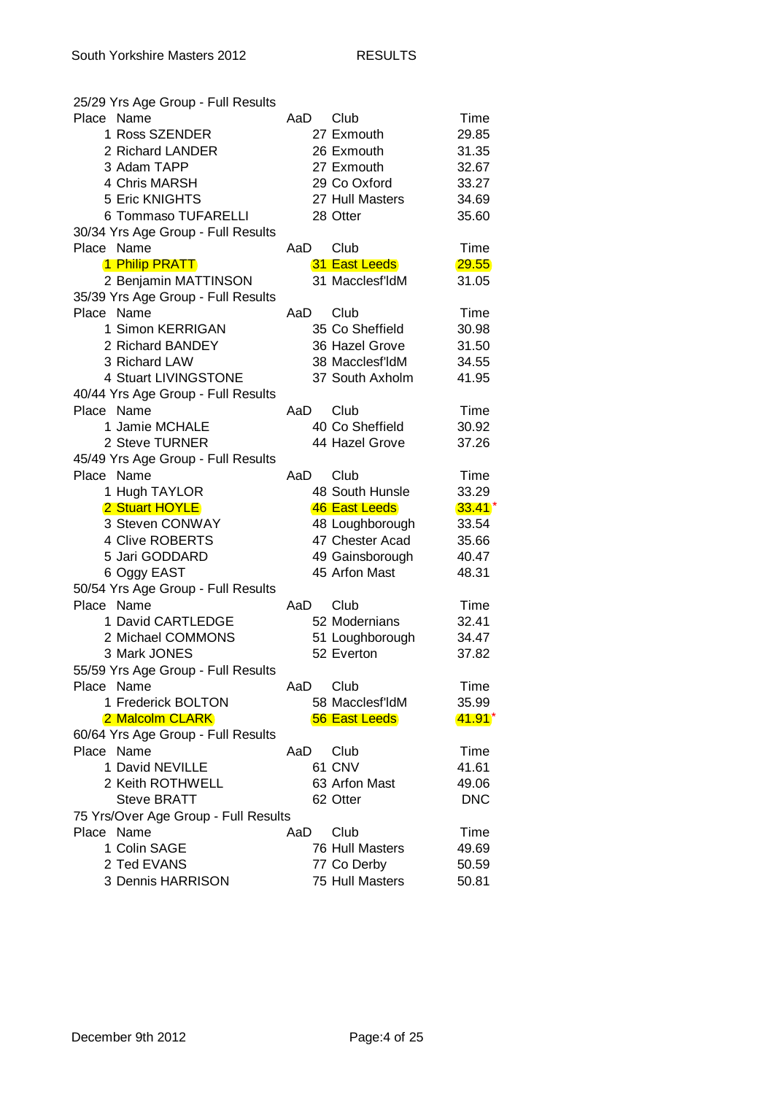| 25/29 Yrs Age Group - Full Results   |     |                 |            |
|--------------------------------------|-----|-----------------|------------|
| Place Name                           | AaD | Club            | Time       |
| 1 Ross SZENDER                       |     | 27 Exmouth      | 29.85      |
| 2 Richard LANDER                     |     | 26 Exmouth      | 31.35      |
| 3 Adam TAPP                          |     | 27 Exmouth      | 32.67      |
| 4 Chris MARSH                        |     | 29 Co Oxford    | 33.27      |
| 5 Eric KNIGHTS                       |     | 27 Hull Masters | 34.69      |
| 6 Tommaso TUFARELLI                  |     | 28 Otter        | 35.60      |
| 30/34 Yrs Age Group - Full Results   |     |                 |            |
| Place Name                           | AaD | Club            | Time       |
| 1 Philip PRATT                       |     | 31 East Leeds   | 29.55      |
| 2 Benjamin MATTINSON                 |     | 31 Macclesf'ldM | 31.05      |
| 35/39 Yrs Age Group - Full Results   |     |                 |            |
| Place Name                           | AaD | Club            | Time       |
| 1 Simon KERRIGAN                     |     | 35 Co Sheffield | 30.98      |
| 2 Richard BANDEY                     |     | 36 Hazel Grove  | 31.50      |
| 3 Richard LAW                        |     | 38 Macclesf'ldM | 34.55      |
| 4 Stuart LIVINGSTONE                 |     | 37 South Axholm | 41.95      |
| 40/44 Yrs Age Group - Full Results   |     |                 |            |
| Place Name                           | AaD | Club            | Time       |
| 1 Jamie MCHALE                       |     | 40 Co Sheffield | 30.92      |
| 2 Steve TURNER                       |     | 44 Hazel Grove  | 37.26      |
| 45/49 Yrs Age Group - Full Results   |     |                 |            |
| Place Name                           | AaD | Club            | Time       |
| 1 Hugh TAYLOR                        |     | 48 South Hunsle | 33.29      |
| 2 Stuart HOYLE                       |     | 46 East Leeds   | $33.41*$   |
| 3 Steven CONWAY                      |     | 48 Loughborough | 33.54      |
| 4 Clive ROBERTS                      |     | 47 Chester Acad | 35.66      |
| 5 Jari GODDARD                       |     | 49 Gainsborough | 40.47      |
| 6 Oggy EAST                          |     | 45 Arfon Mast   | 48.31      |
| 50/54 Yrs Age Group - Full Results   |     |                 |            |
| Place Name                           | AaD | Club            | Time       |
| 1 David CARTLEDGE                    |     | 52 Modernians   | 32.41      |
| 2 Michael COMMONS                    |     | 51 Loughborough | 34.47      |
| 3 Mark JONES                         |     | 52 Everton      | 37.82      |
| 55/59 Yrs Age Group - Full Results   |     |                 |            |
| Place Name                           | AaD | Club            | Time       |
| 1 Frederick BOLTON                   |     | 58 Macclesf'ldM | 35.99      |
| 2 Malcolm CLARK                      |     | 56 East Leeds   | $41.91*$   |
| 60/64 Yrs Age Group - Full Results   |     |                 |            |
| Place Name                           | AaD | Club            | Time       |
| 1 David NEVILLE                      |     | 61 CNV          | 41.61      |
| 2 Keith ROTHWELL                     |     | 63 Arfon Mast   |            |
|                                      |     | 62 Otter        | 49.06      |
| <b>Steve BRATT</b>                   |     |                 | <b>DNC</b> |
| 75 Yrs/Over Age Group - Full Results |     |                 |            |
| Place Name                           | AaD | Club            | Time       |
| 1 Colin SAGE                         |     | 76 Hull Masters | 49.69      |
| 2 Ted EVANS                          |     | 77 Co Derby     | 50.59      |
| 3 Dennis HARRISON                    |     | 75 Hull Masters | 50.81      |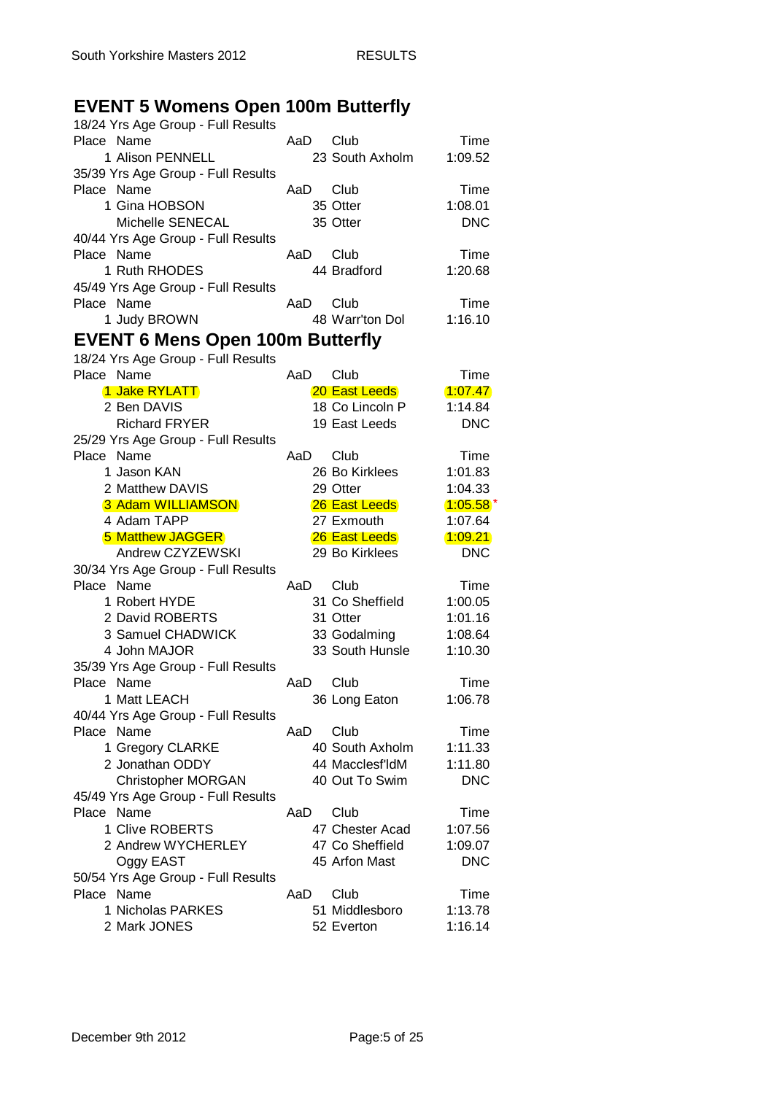## **EVENT 5 Womens Open 100m Butterfly**

| 18/24 Yrs Age Group - Full Results      |     |                 |            |
|-----------------------------------------|-----|-----------------|------------|
| Place Name                              | AaD | Club            | Time       |
| 1 Alison PENNELL                        |     | 23 South Axholm | 1:09.52    |
| 35/39 Yrs Age Group - Full Results      |     |                 |            |
| Place Name                              | AaD | Club            | Time       |
| 1 Gina HOBSON                           |     | 35 Otter        | 1:08.01    |
| Michelle SENECAL                        |     | 35 Otter        | <b>DNC</b> |
| 40/44 Yrs Age Group - Full Results      |     |                 |            |
| Place Name                              | AaD | Club            | Time       |
| 1 Ruth RHODES                           |     | 44 Bradford     | 1:20.68    |
| 45/49 Yrs Age Group - Full Results      |     |                 |            |
| Place Name                              | AaD | Club            | Time       |
| 1 Judy BROWN                            |     | 48 Warr'ton Dol | 1:16.10    |
|                                         |     |                 |            |
| <b>EVENT 6 Mens Open 100m Butterfly</b> |     |                 |            |
| 18/24 Yrs Age Group - Full Results      |     |                 |            |
| Place Name                              | AaD | Club            | Time       |
| 1 Jake RYLATT                           |     | 20 East Leeds   | 1:07.47    |
| 2 Ben DAVIS                             |     | 18 Co Lincoln P | 1:14.84    |
| <b>Richard FRYER</b>                    |     | 19 East Leeds   | <b>DNC</b> |
| 25/29 Yrs Age Group - Full Results      |     |                 |            |
| Place Name                              | AaD | Club            | Time       |
| 1 Jason KAN                             |     | 26 Bo Kirklees  | 1:01.83    |
| 2 Matthew DAVIS                         |     | 29 Otter        | 1:04.33    |
| 3 Adam WILLIAMSON                       |     | 26 East Leeds   | $1:05.58*$ |
| 4 Adam TAPP                             |     | 27 Exmouth      | 1:07.64    |
| <b>5 Matthew JAGGER</b>                 |     | 26 East Leeds   | 1:09.21    |
| Andrew CZYZEWSKI                        |     | 29 Bo Kirklees  | <b>DNC</b> |
| 30/34 Yrs Age Group - Full Results      |     |                 |            |
| Place Name                              | AaD | Club            | Time       |
| 1 Robert HYDE                           |     | 31 Co Sheffield | 1:00.05    |
| 2 David ROBERTS                         |     | 31 Otter        | 1:01.16    |
| 3 Samuel CHADWICK                       |     | 33 Godalming    | 1:08.64    |
| 4 John MAJOR                            |     | 33 South Hunsle | 1:10.30    |
| 35/39 Yrs Age Group - Full Results      |     |                 |            |
| Place Name                              | AaD | Club            | Time       |
| 1 Matt LEACH                            |     | 36 Long Eaton   | 1:06.78    |
| 40/44 Yrs Age Group - Full Results      |     |                 |            |
| Place Name                              | AaD | Club            | Time       |
| 1 Gregory CLARKE                        |     | 40 South Axholm | 1:11.33    |
| 2 Jonathan ODDY                         |     | 44 Macclesf'ldM | 1:11.80    |
| <b>Christopher MORGAN</b>               |     | 40 Out To Swim  | <b>DNC</b> |
| 45/49 Yrs Age Group - Full Results      |     |                 |            |
| Place Name                              | AaD | Club            | Time       |
| 1 Clive ROBERTS                         |     | 47 Chester Acad | 1:07.56    |
| 2 Andrew WYCHERLEY                      |     | 47 Co Sheffield | 1:09.07    |
| Oggy EAST                               |     | 45 Arfon Mast   | <b>DNC</b> |
| 50/54 Yrs Age Group - Full Results      |     |                 |            |
| Place Name                              | AaD | Club            | Time       |
| 1 Nicholas PARKES                       |     | 51 Middlesboro  | 1:13.78    |
| 2 Mark JONES                            |     | 52 Everton      | 1:16.14    |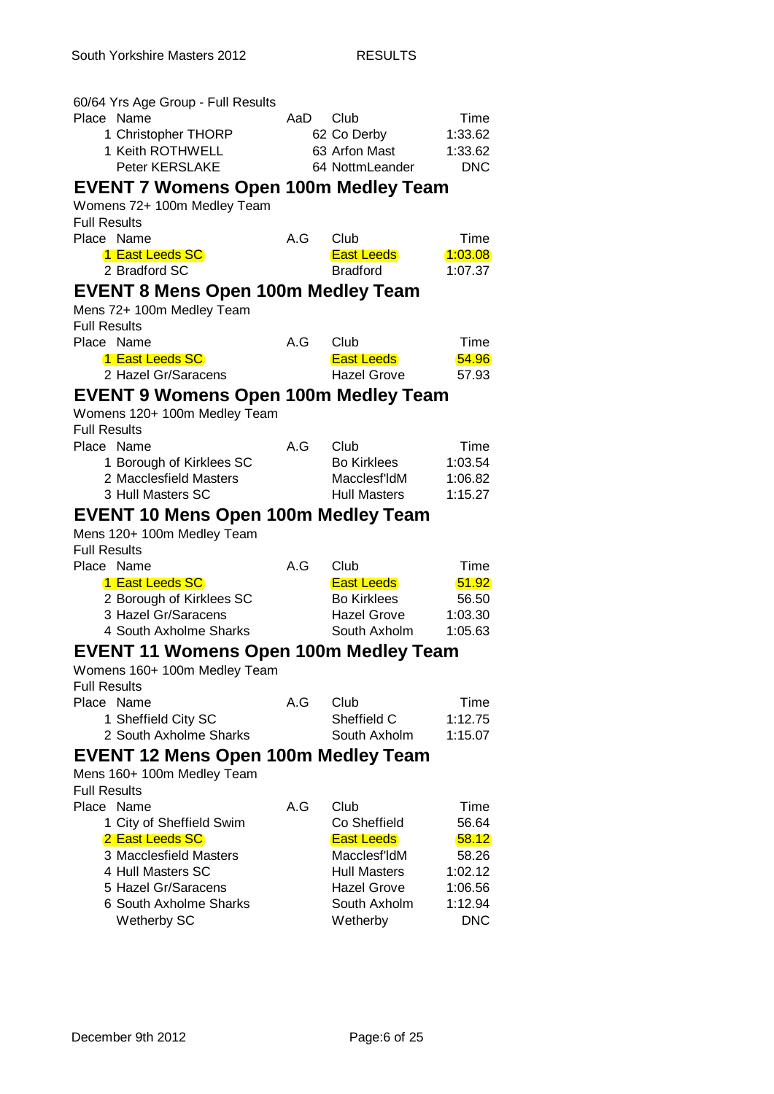| 60/64 Yrs Age Group - Full Results                |     |                     |            |
|---------------------------------------------------|-----|---------------------|------------|
| Place Name                                        | AaD | Club                | Time       |
| 1 Christopher THORP                               |     | 62 Co Derby         | 1:33.62    |
| 1 Keith ROTHWELL                                  |     | 63 Arfon Mast       | 1:33.62    |
| <b>Peter KERSLAKE</b>                             |     | 64 NottmLeander     | <b>DNC</b> |
| <b>EVENT 7 Womens Open 100m Medley Team</b>       |     |                     |            |
| Womens 72+ 100m Medley Team                       |     |                     |            |
| <b>Full Results</b>                               |     |                     |            |
| Place Name                                        | A.G | Club                | Time       |
| 1 East Leeds SC                                   |     | <b>East Leeds</b>   | 1:03.08    |
| 2 Bradford SC                                     |     | <b>Bradford</b>     | 1:07.37    |
| <b>EVENT 8 Mens Open 100m Medley Team</b>         |     |                     |            |
| Mens 72+ 100m Medley Team                         |     |                     |            |
| <b>Full Results</b>                               |     |                     |            |
| Place Name                                        | A.G | Club                | Time       |
| 1 East Leeds SC                                   |     | <b>East Leeds</b>   | 54.96      |
| 2 Hazel Gr/Saracens                               |     | <b>Hazel Grove</b>  | 57.93      |
| EVENT 9 Womens Open 100m Medley Team              |     |                     |            |
| Womens 120+ 100m Medley Team                      |     |                     |            |
| <b>Full Results</b>                               |     |                     |            |
| Place Name                                        | A.G | Club                | Time       |
| 1 Borough of Kirklees SC                          |     | <b>Bo Kirklees</b>  | 1:03.54    |
| 2 Macclesfield Masters                            |     | Macclesf'IdM        | 1:06.82    |
| 3 Hull Masters SC                                 |     | <b>Hull Masters</b> | 1:15.27    |
| <b>EVENT 10 Mens Open 100m Medley Team</b>        |     |                     |            |
| Mens 120+ 100m Medley Team                        |     |                     |            |
| <b>Full Results</b>                               |     |                     |            |
| Place Name                                        | A.G | Club                | Time       |
| 1 East Leeds SC                                   |     | <b>East Leeds</b>   | 51.92      |
| 2 Borough of Kirklees SC                          |     | <b>Bo Kirklees</b>  | 56.50      |
| 3 Hazel Gr/Saracens                               |     | Hazel Grove         | 1:03.30    |
| 4 South Axholme Sharks                            |     | South Axholm        | 1:05.63    |
| <b>EVENT 11 Womens Open 100m Medley Team</b>      |     |                     |            |
| Womens 160+ 100m Medley Team                      |     |                     |            |
| <b>Full Results</b>                               |     |                     |            |
| Place Name                                        | A.G | Club                | Time       |
| 1 Sheffield City SC                               |     | Sheffield C         | 1:12.75    |
| 2 South Axholme Sharks                            |     | South Axholm        | 1:15.07    |
| <b>EVENT 12 Mens Open 100m Medley Team</b>        |     |                     |            |
|                                                   |     |                     |            |
| Mens 160+ 100m Medley Team<br><b>Full Results</b> |     |                     |            |
| Place Name                                        | A.G | Club                | Time       |
| 1 City of Sheffield Swim                          |     | Co Sheffield        | 56.64      |
| 2 East Leeds SC                                   |     | <b>East Leeds</b>   | 58.12      |
| 3 Macclesfield Masters                            |     | Macclesf'ldM        | 58.26      |
| 4 Hull Masters SC                                 |     | <b>Hull Masters</b> | 1:02.12    |
| 5 Hazel Gr/Saracens                               |     | <b>Hazel Grove</b>  | 1:06.56    |
| 6 South Axholme Sharks                            |     | South Axholm        | 1:12.94    |
| Wetherby SC                                       |     | Wetherby            | <b>DNC</b> |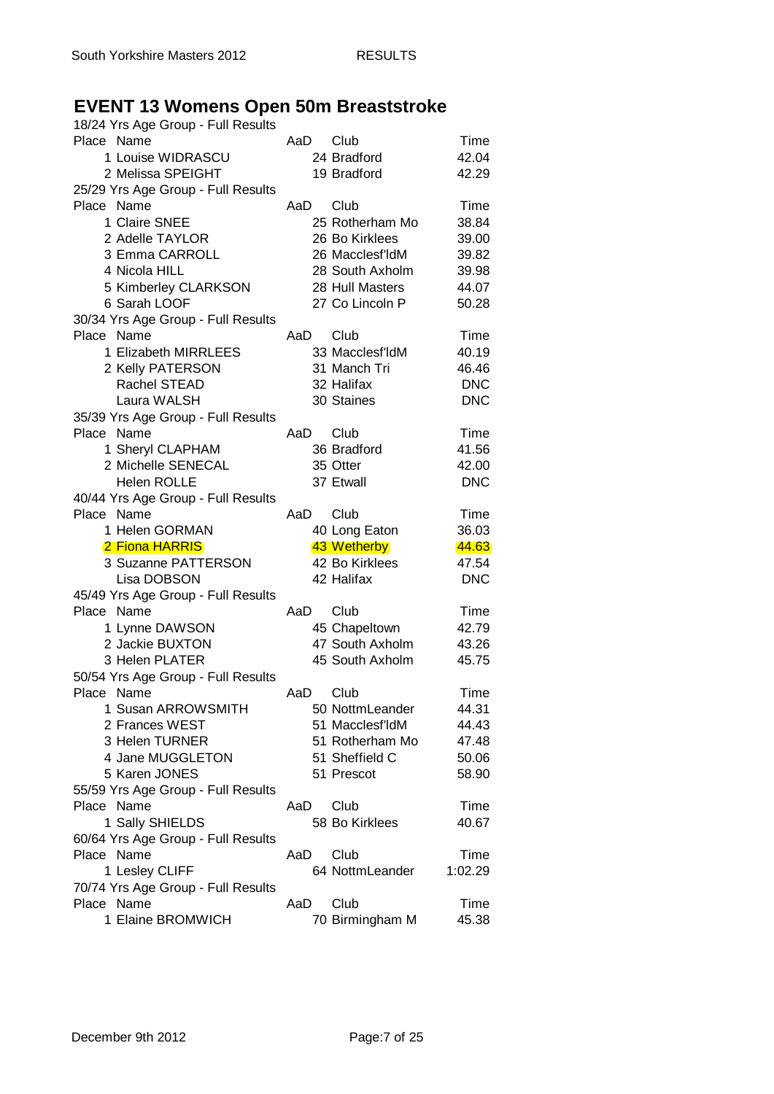## **EVENT 13 Womens Open 50m Breaststroke**

| 18/24 Yrs Age Group - Full Results |      |                 |            |
|------------------------------------|------|-----------------|------------|
| Place Name                         | AaD  | Club            | Time       |
| 1 Louise WIDRASCU                  |      | 24 Bradford     | 42.04      |
| 2 Melissa SPEIGHT                  |      | 19 Bradford     | 42.29      |
| 25/29 Yrs Age Group - Full Results |      |                 |            |
| Place Name                         | AaD  | Club            | Time       |
| 1 Claire SNEE                      |      | 25 Rotherham Mo | 38.84      |
| 2 Adelle TAYLOR                    |      | 26 Bo Kirklees  | 39.00      |
| 3 Emma CARROLL                     |      | 26 Macclesf'ldM | 39.82      |
| 4 Nicola HILL                      |      | 28 South Axholm | 39.98      |
| 5 Kimberley CLARKSON               |      | 28 Hull Masters | 44.07      |
| 6 Sarah LOOF                       |      | 27 Co Lincoln P | 50.28      |
| 30/34 Yrs Age Group - Full Results |      |                 |            |
| Place Name                         | AaD  | Club            | Time       |
| 1 Elizabeth MIRRLEES               |      | 33 Macclesf'ldM | 40.19      |
|                                    |      |                 |            |
| 2 Kelly PATERSON                   |      | 31 Manch Tri    | 46.46      |
| Rachel STEAD                       |      | 32 Halifax      | <b>DNC</b> |
| Laura WALSH                        |      | 30 Staines      | <b>DNC</b> |
| 35/39 Yrs Age Group - Full Results |      |                 |            |
| Place Name                         | AaD  | Club            | Time       |
| 1 Sheryl CLAPHAM                   |      | 36 Bradford     | 41.56      |
| 2 Michelle SENECAL                 |      | 35 Otter        | 42.00      |
| <b>Helen ROLLE</b>                 |      | 37 Etwall       | <b>DNC</b> |
| 40/44 Yrs Age Group - Full Results |      |                 |            |
| Place Name                         | AaD  | Club            | Time       |
| 1 Helen GORMAN                     |      | 40 Long Eaton   | 36.03      |
| 2 Fiona HARRIS                     |      | 43 Wetherby     | 44.63      |
| 3 Suzanne PATTERSON                |      | 42 Bo Kirklees  | 47.54      |
| Lisa DOBSON                        |      | 42 Halifax      | <b>DNC</b> |
| 45/49 Yrs Age Group - Full Results |      |                 |            |
| Place Name                         | AaD  | Club            | Time       |
| 1 Lynne DAWSON                     |      | 45 Chapeltown   | 42.79      |
| 2 Jackie BUXTON                    |      | 47 South Axholm | 43.26      |
| 3 Helen PLATER                     |      | 45 South Axholm | 45.75      |
| 50/54 Yrs Age Group - Full Results |      |                 |            |
| Place Name                         | AaD  | Club            | Time       |
| 1 Susan ARROWSMITH                 |      | 50 NottmLeander | 44.31      |
| 2 Frances WEST                     |      | 51 Macclesf'ldM | 44.43      |
| 3 Helen TURNER                     |      | 51 Rotherham Mo | 47.48      |
| 4 Jane MUGGLETON                   |      | 51 Sheffield C  | 50.06      |
| 5 Karen JONES                      |      | 51 Prescot      | 58.90      |
| 55/59 Yrs Age Group - Full Results |      |                 |            |
| Place Name                         | AaD  | Club            | Time       |
| 1 Sally SHIELDS                    |      | 58 Bo Kirklees  | 40.67      |
| 60/64 Yrs Age Group - Full Results |      |                 |            |
| Place Name                         | AaD. | Club            | Time       |
| 1 Lesley CLIFF                     |      | 64 NottmLeander | 1:02.29    |
| 70/74 Yrs Age Group - Full Results |      |                 |            |
| Place Name                         | AaD  | Club            | Time       |
| 1 Elaine BROMWICH                  |      | 70 Birmingham M | 45.38      |
|                                    |      |                 |            |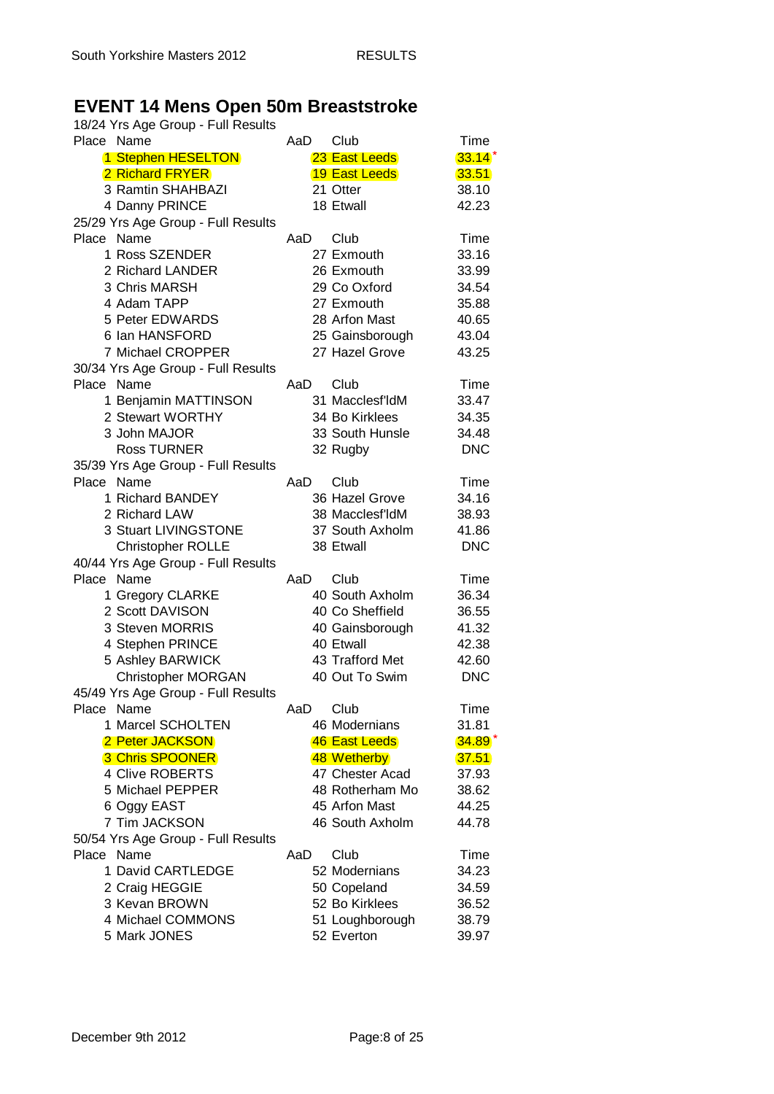#### **EVENT 14 Mens Open 50m Breaststroke**

| Place Name<br>Club<br>Time<br>AaD<br>1 Stephen HESELTON<br>23 East Leeds<br>$33.14*$<br>2 Richard FRYER<br><b>19 East Leeds</b><br>33.51<br>3 Ramtin SHAHBAZI<br>21 Otter<br>38.10<br>18 Etwall<br>4 Danny PRINCE<br>42.23<br>25/29 Yrs Age Group - Full Results<br>Place Name<br>AaD<br>Club<br>Time<br>1 Ross SZENDER<br>27 Exmouth<br>33.16<br>2 Richard LANDER<br>26 Exmouth<br>33.99<br>3 Chris MARSH<br>29 Co Oxford<br>34.54<br>4 Adam TAPP<br>27 Exmouth<br>35.88<br>5 Peter EDWARDS<br>28 Arfon Mast<br>40.65<br>6 Ian HANSFORD<br>25 Gainsborough<br>43.04<br>7 Michael CROPPER<br>27 Hazel Grove<br>43.25<br>30/34 Yrs Age Group - Full Results<br>Place Name<br>AaD<br>Club<br>Time<br>1 Benjamin MATTINSON<br>31 Macclesf'ldM<br>33.47<br>2 Stewart WORTHY<br>34 Bo Kirklees<br>34.35<br>3 John MAJOR<br>33 South Hunsle<br>34.48<br><b>DNC</b><br><b>Ross TURNER</b><br>32 Rugby<br>35/39 Yrs Age Group - Full Results<br>Place Name<br>Club<br>Time<br>AaD<br>1 Richard BANDEY<br>36 Hazel Grove<br>34.16<br>2 Richard LAW<br>38 Macclesf'ldM<br>38.93<br>3 Stuart LIVINGSTONE<br>37 South Axholm<br>41.86<br><b>Christopher ROLLE</b><br>38 Etwall<br><b>DNC</b><br>40/44 Yrs Age Group - Full Results<br>Place Name<br>Time<br>AaD<br>Club<br>1 Gregory CLARKE<br>40 South Axholm<br>36.34<br>2 Scott DAVISON<br>40 Co Sheffield<br>36.55<br>3 Steven MORRIS<br>40 Gainsborough<br>41.32<br>4 Stephen PRINCE<br>40 Etwall<br>42.38<br>5 Ashley BARWICK<br>43 Trafford Met<br>42.60<br><b>Christopher MORGAN</b><br>40 Out To Swim<br><b>DNC</b><br>45/49 Yrs Age Group - Full Results<br>AaD<br>Club<br>Place Name<br>Time<br>1 Marcel SCHOLTEN<br>46 Modernians<br>31.81<br>2 Peter JACKSON<br>46 East Leeds<br>$34.89*$<br>48 Wetherby<br><b>3 Chris SPOONER</b><br>37.51<br>47 Chester Acad<br>4 Clive ROBERTS<br>37.93<br>5 Michael PEPPER<br>48 Rotherham Mo<br>38.62<br>45 Arfon Mast<br>6 Oggy EAST<br>44.25<br>7 Tim JACKSON<br>46 South Axholm<br>44.78<br>50/54 Yrs Age Group - Full Results<br>Place Name<br>Club<br>AaD<br>Time<br>52 Modernians<br>1 David CARTLEDGE<br>34.23<br>2 Craig HEGGIE<br>50 Copeland<br>34.59<br>3 Kevan BROWN<br>52 Bo Kirklees<br>36.52<br>4 Michael COMMONS<br>51 Loughborough<br>38.79 | 18/24 Yrs Age Group - Full Results |  |
|----------------------------------------------------------------------------------------------------------------------------------------------------------------------------------------------------------------------------------------------------------------------------------------------------------------------------------------------------------------------------------------------------------------------------------------------------------------------------------------------------------------------------------------------------------------------------------------------------------------------------------------------------------------------------------------------------------------------------------------------------------------------------------------------------------------------------------------------------------------------------------------------------------------------------------------------------------------------------------------------------------------------------------------------------------------------------------------------------------------------------------------------------------------------------------------------------------------------------------------------------------------------------------------------------------------------------------------------------------------------------------------------------------------------------------------------------------------------------------------------------------------------------------------------------------------------------------------------------------------------------------------------------------------------------------------------------------------------------------------------------------------------------------------------------------------------------------------------------------------------------------------------------------------------------------------------------------------------------------------------------------------------------------------------------------------------------------------------------------------------------------------------------------------------------------------------------------------------------------------------------|------------------------------------|--|
|                                                                                                                                                                                                                                                                                                                                                                                                                                                                                                                                                                                                                                                                                                                                                                                                                                                                                                                                                                                                                                                                                                                                                                                                                                                                                                                                                                                                                                                                                                                                                                                                                                                                                                                                                                                                                                                                                                                                                                                                                                                                                                                                                                                                                                                    |                                    |  |
|                                                                                                                                                                                                                                                                                                                                                                                                                                                                                                                                                                                                                                                                                                                                                                                                                                                                                                                                                                                                                                                                                                                                                                                                                                                                                                                                                                                                                                                                                                                                                                                                                                                                                                                                                                                                                                                                                                                                                                                                                                                                                                                                                                                                                                                    |                                    |  |
|                                                                                                                                                                                                                                                                                                                                                                                                                                                                                                                                                                                                                                                                                                                                                                                                                                                                                                                                                                                                                                                                                                                                                                                                                                                                                                                                                                                                                                                                                                                                                                                                                                                                                                                                                                                                                                                                                                                                                                                                                                                                                                                                                                                                                                                    |                                    |  |
|                                                                                                                                                                                                                                                                                                                                                                                                                                                                                                                                                                                                                                                                                                                                                                                                                                                                                                                                                                                                                                                                                                                                                                                                                                                                                                                                                                                                                                                                                                                                                                                                                                                                                                                                                                                                                                                                                                                                                                                                                                                                                                                                                                                                                                                    |                                    |  |
|                                                                                                                                                                                                                                                                                                                                                                                                                                                                                                                                                                                                                                                                                                                                                                                                                                                                                                                                                                                                                                                                                                                                                                                                                                                                                                                                                                                                                                                                                                                                                                                                                                                                                                                                                                                                                                                                                                                                                                                                                                                                                                                                                                                                                                                    |                                    |  |
|                                                                                                                                                                                                                                                                                                                                                                                                                                                                                                                                                                                                                                                                                                                                                                                                                                                                                                                                                                                                                                                                                                                                                                                                                                                                                                                                                                                                                                                                                                                                                                                                                                                                                                                                                                                                                                                                                                                                                                                                                                                                                                                                                                                                                                                    |                                    |  |
|                                                                                                                                                                                                                                                                                                                                                                                                                                                                                                                                                                                                                                                                                                                                                                                                                                                                                                                                                                                                                                                                                                                                                                                                                                                                                                                                                                                                                                                                                                                                                                                                                                                                                                                                                                                                                                                                                                                                                                                                                                                                                                                                                                                                                                                    |                                    |  |
|                                                                                                                                                                                                                                                                                                                                                                                                                                                                                                                                                                                                                                                                                                                                                                                                                                                                                                                                                                                                                                                                                                                                                                                                                                                                                                                                                                                                                                                                                                                                                                                                                                                                                                                                                                                                                                                                                                                                                                                                                                                                                                                                                                                                                                                    |                                    |  |
|                                                                                                                                                                                                                                                                                                                                                                                                                                                                                                                                                                                                                                                                                                                                                                                                                                                                                                                                                                                                                                                                                                                                                                                                                                                                                                                                                                                                                                                                                                                                                                                                                                                                                                                                                                                                                                                                                                                                                                                                                                                                                                                                                                                                                                                    |                                    |  |
|                                                                                                                                                                                                                                                                                                                                                                                                                                                                                                                                                                                                                                                                                                                                                                                                                                                                                                                                                                                                                                                                                                                                                                                                                                                                                                                                                                                                                                                                                                                                                                                                                                                                                                                                                                                                                                                                                                                                                                                                                                                                                                                                                                                                                                                    |                                    |  |
|                                                                                                                                                                                                                                                                                                                                                                                                                                                                                                                                                                                                                                                                                                                                                                                                                                                                                                                                                                                                                                                                                                                                                                                                                                                                                                                                                                                                                                                                                                                                                                                                                                                                                                                                                                                                                                                                                                                                                                                                                                                                                                                                                                                                                                                    |                                    |  |
|                                                                                                                                                                                                                                                                                                                                                                                                                                                                                                                                                                                                                                                                                                                                                                                                                                                                                                                                                                                                                                                                                                                                                                                                                                                                                                                                                                                                                                                                                                                                                                                                                                                                                                                                                                                                                                                                                                                                                                                                                                                                                                                                                                                                                                                    |                                    |  |
|                                                                                                                                                                                                                                                                                                                                                                                                                                                                                                                                                                                                                                                                                                                                                                                                                                                                                                                                                                                                                                                                                                                                                                                                                                                                                                                                                                                                                                                                                                                                                                                                                                                                                                                                                                                                                                                                                                                                                                                                                                                                                                                                                                                                                                                    |                                    |  |
|                                                                                                                                                                                                                                                                                                                                                                                                                                                                                                                                                                                                                                                                                                                                                                                                                                                                                                                                                                                                                                                                                                                                                                                                                                                                                                                                                                                                                                                                                                                                                                                                                                                                                                                                                                                                                                                                                                                                                                                                                                                                                                                                                                                                                                                    |                                    |  |
|                                                                                                                                                                                                                                                                                                                                                                                                                                                                                                                                                                                                                                                                                                                                                                                                                                                                                                                                                                                                                                                                                                                                                                                                                                                                                                                                                                                                                                                                                                                                                                                                                                                                                                                                                                                                                                                                                                                                                                                                                                                                                                                                                                                                                                                    |                                    |  |
|                                                                                                                                                                                                                                                                                                                                                                                                                                                                                                                                                                                                                                                                                                                                                                                                                                                                                                                                                                                                                                                                                                                                                                                                                                                                                                                                                                                                                                                                                                                                                                                                                                                                                                                                                                                                                                                                                                                                                                                                                                                                                                                                                                                                                                                    |                                    |  |
|                                                                                                                                                                                                                                                                                                                                                                                                                                                                                                                                                                                                                                                                                                                                                                                                                                                                                                                                                                                                                                                                                                                                                                                                                                                                                                                                                                                                                                                                                                                                                                                                                                                                                                                                                                                                                                                                                                                                                                                                                                                                                                                                                                                                                                                    |                                    |  |
|                                                                                                                                                                                                                                                                                                                                                                                                                                                                                                                                                                                                                                                                                                                                                                                                                                                                                                                                                                                                                                                                                                                                                                                                                                                                                                                                                                                                                                                                                                                                                                                                                                                                                                                                                                                                                                                                                                                                                                                                                                                                                                                                                                                                                                                    |                                    |  |
|                                                                                                                                                                                                                                                                                                                                                                                                                                                                                                                                                                                                                                                                                                                                                                                                                                                                                                                                                                                                                                                                                                                                                                                                                                                                                                                                                                                                                                                                                                                                                                                                                                                                                                                                                                                                                                                                                                                                                                                                                                                                                                                                                                                                                                                    |                                    |  |
|                                                                                                                                                                                                                                                                                                                                                                                                                                                                                                                                                                                                                                                                                                                                                                                                                                                                                                                                                                                                                                                                                                                                                                                                                                                                                                                                                                                                                                                                                                                                                                                                                                                                                                                                                                                                                                                                                                                                                                                                                                                                                                                                                                                                                                                    |                                    |  |
|                                                                                                                                                                                                                                                                                                                                                                                                                                                                                                                                                                                                                                                                                                                                                                                                                                                                                                                                                                                                                                                                                                                                                                                                                                                                                                                                                                                                                                                                                                                                                                                                                                                                                                                                                                                                                                                                                                                                                                                                                                                                                                                                                                                                                                                    |                                    |  |
|                                                                                                                                                                                                                                                                                                                                                                                                                                                                                                                                                                                                                                                                                                                                                                                                                                                                                                                                                                                                                                                                                                                                                                                                                                                                                                                                                                                                                                                                                                                                                                                                                                                                                                                                                                                                                                                                                                                                                                                                                                                                                                                                                                                                                                                    |                                    |  |
|                                                                                                                                                                                                                                                                                                                                                                                                                                                                                                                                                                                                                                                                                                                                                                                                                                                                                                                                                                                                                                                                                                                                                                                                                                                                                                                                                                                                                                                                                                                                                                                                                                                                                                                                                                                                                                                                                                                                                                                                                                                                                                                                                                                                                                                    |                                    |  |
|                                                                                                                                                                                                                                                                                                                                                                                                                                                                                                                                                                                                                                                                                                                                                                                                                                                                                                                                                                                                                                                                                                                                                                                                                                                                                                                                                                                                                                                                                                                                                                                                                                                                                                                                                                                                                                                                                                                                                                                                                                                                                                                                                                                                                                                    |                                    |  |
|                                                                                                                                                                                                                                                                                                                                                                                                                                                                                                                                                                                                                                                                                                                                                                                                                                                                                                                                                                                                                                                                                                                                                                                                                                                                                                                                                                                                                                                                                                                                                                                                                                                                                                                                                                                                                                                                                                                                                                                                                                                                                                                                                                                                                                                    |                                    |  |
|                                                                                                                                                                                                                                                                                                                                                                                                                                                                                                                                                                                                                                                                                                                                                                                                                                                                                                                                                                                                                                                                                                                                                                                                                                                                                                                                                                                                                                                                                                                                                                                                                                                                                                                                                                                                                                                                                                                                                                                                                                                                                                                                                                                                                                                    |                                    |  |
|                                                                                                                                                                                                                                                                                                                                                                                                                                                                                                                                                                                                                                                                                                                                                                                                                                                                                                                                                                                                                                                                                                                                                                                                                                                                                                                                                                                                                                                                                                                                                                                                                                                                                                                                                                                                                                                                                                                                                                                                                                                                                                                                                                                                                                                    |                                    |  |
|                                                                                                                                                                                                                                                                                                                                                                                                                                                                                                                                                                                                                                                                                                                                                                                                                                                                                                                                                                                                                                                                                                                                                                                                                                                                                                                                                                                                                                                                                                                                                                                                                                                                                                                                                                                                                                                                                                                                                                                                                                                                                                                                                                                                                                                    |                                    |  |
|                                                                                                                                                                                                                                                                                                                                                                                                                                                                                                                                                                                                                                                                                                                                                                                                                                                                                                                                                                                                                                                                                                                                                                                                                                                                                                                                                                                                                                                                                                                                                                                                                                                                                                                                                                                                                                                                                                                                                                                                                                                                                                                                                                                                                                                    |                                    |  |
|                                                                                                                                                                                                                                                                                                                                                                                                                                                                                                                                                                                                                                                                                                                                                                                                                                                                                                                                                                                                                                                                                                                                                                                                                                                                                                                                                                                                                                                                                                                                                                                                                                                                                                                                                                                                                                                                                                                                                                                                                                                                                                                                                                                                                                                    |                                    |  |
|                                                                                                                                                                                                                                                                                                                                                                                                                                                                                                                                                                                                                                                                                                                                                                                                                                                                                                                                                                                                                                                                                                                                                                                                                                                                                                                                                                                                                                                                                                                                                                                                                                                                                                                                                                                                                                                                                                                                                                                                                                                                                                                                                                                                                                                    |                                    |  |
|                                                                                                                                                                                                                                                                                                                                                                                                                                                                                                                                                                                                                                                                                                                                                                                                                                                                                                                                                                                                                                                                                                                                                                                                                                                                                                                                                                                                                                                                                                                                                                                                                                                                                                                                                                                                                                                                                                                                                                                                                                                                                                                                                                                                                                                    |                                    |  |
|                                                                                                                                                                                                                                                                                                                                                                                                                                                                                                                                                                                                                                                                                                                                                                                                                                                                                                                                                                                                                                                                                                                                                                                                                                                                                                                                                                                                                                                                                                                                                                                                                                                                                                                                                                                                                                                                                                                                                                                                                                                                                                                                                                                                                                                    |                                    |  |
|                                                                                                                                                                                                                                                                                                                                                                                                                                                                                                                                                                                                                                                                                                                                                                                                                                                                                                                                                                                                                                                                                                                                                                                                                                                                                                                                                                                                                                                                                                                                                                                                                                                                                                                                                                                                                                                                                                                                                                                                                                                                                                                                                                                                                                                    |                                    |  |
|                                                                                                                                                                                                                                                                                                                                                                                                                                                                                                                                                                                                                                                                                                                                                                                                                                                                                                                                                                                                                                                                                                                                                                                                                                                                                                                                                                                                                                                                                                                                                                                                                                                                                                                                                                                                                                                                                                                                                                                                                                                                                                                                                                                                                                                    |                                    |  |
|                                                                                                                                                                                                                                                                                                                                                                                                                                                                                                                                                                                                                                                                                                                                                                                                                                                                                                                                                                                                                                                                                                                                                                                                                                                                                                                                                                                                                                                                                                                                                                                                                                                                                                                                                                                                                                                                                                                                                                                                                                                                                                                                                                                                                                                    |                                    |  |
|                                                                                                                                                                                                                                                                                                                                                                                                                                                                                                                                                                                                                                                                                                                                                                                                                                                                                                                                                                                                                                                                                                                                                                                                                                                                                                                                                                                                                                                                                                                                                                                                                                                                                                                                                                                                                                                                                                                                                                                                                                                                                                                                                                                                                                                    |                                    |  |
|                                                                                                                                                                                                                                                                                                                                                                                                                                                                                                                                                                                                                                                                                                                                                                                                                                                                                                                                                                                                                                                                                                                                                                                                                                                                                                                                                                                                                                                                                                                                                                                                                                                                                                                                                                                                                                                                                                                                                                                                                                                                                                                                                                                                                                                    |                                    |  |
|                                                                                                                                                                                                                                                                                                                                                                                                                                                                                                                                                                                                                                                                                                                                                                                                                                                                                                                                                                                                                                                                                                                                                                                                                                                                                                                                                                                                                                                                                                                                                                                                                                                                                                                                                                                                                                                                                                                                                                                                                                                                                                                                                                                                                                                    |                                    |  |
|                                                                                                                                                                                                                                                                                                                                                                                                                                                                                                                                                                                                                                                                                                                                                                                                                                                                                                                                                                                                                                                                                                                                                                                                                                                                                                                                                                                                                                                                                                                                                                                                                                                                                                                                                                                                                                                                                                                                                                                                                                                                                                                                                                                                                                                    |                                    |  |
|                                                                                                                                                                                                                                                                                                                                                                                                                                                                                                                                                                                                                                                                                                                                                                                                                                                                                                                                                                                                                                                                                                                                                                                                                                                                                                                                                                                                                                                                                                                                                                                                                                                                                                                                                                                                                                                                                                                                                                                                                                                                                                                                                                                                                                                    |                                    |  |
|                                                                                                                                                                                                                                                                                                                                                                                                                                                                                                                                                                                                                                                                                                                                                                                                                                                                                                                                                                                                                                                                                                                                                                                                                                                                                                                                                                                                                                                                                                                                                                                                                                                                                                                                                                                                                                                                                                                                                                                                                                                                                                                                                                                                                                                    |                                    |  |
|                                                                                                                                                                                                                                                                                                                                                                                                                                                                                                                                                                                                                                                                                                                                                                                                                                                                                                                                                                                                                                                                                                                                                                                                                                                                                                                                                                                                                                                                                                                                                                                                                                                                                                                                                                                                                                                                                                                                                                                                                                                                                                                                                                                                                                                    |                                    |  |
|                                                                                                                                                                                                                                                                                                                                                                                                                                                                                                                                                                                                                                                                                                                                                                                                                                                                                                                                                                                                                                                                                                                                                                                                                                                                                                                                                                                                                                                                                                                                                                                                                                                                                                                                                                                                                                                                                                                                                                                                                                                                                                                                                                                                                                                    |                                    |  |
|                                                                                                                                                                                                                                                                                                                                                                                                                                                                                                                                                                                                                                                                                                                                                                                                                                                                                                                                                                                                                                                                                                                                                                                                                                                                                                                                                                                                                                                                                                                                                                                                                                                                                                                                                                                                                                                                                                                                                                                                                                                                                                                                                                                                                                                    |                                    |  |
|                                                                                                                                                                                                                                                                                                                                                                                                                                                                                                                                                                                                                                                                                                                                                                                                                                                                                                                                                                                                                                                                                                                                                                                                                                                                                                                                                                                                                                                                                                                                                                                                                                                                                                                                                                                                                                                                                                                                                                                                                                                                                                                                                                                                                                                    |                                    |  |
|                                                                                                                                                                                                                                                                                                                                                                                                                                                                                                                                                                                                                                                                                                                                                                                                                                                                                                                                                                                                                                                                                                                                                                                                                                                                                                                                                                                                                                                                                                                                                                                                                                                                                                                                                                                                                                                                                                                                                                                                                                                                                                                                                                                                                                                    |                                    |  |
|                                                                                                                                                                                                                                                                                                                                                                                                                                                                                                                                                                                                                                                                                                                                                                                                                                                                                                                                                                                                                                                                                                                                                                                                                                                                                                                                                                                                                                                                                                                                                                                                                                                                                                                                                                                                                                                                                                                                                                                                                                                                                                                                                                                                                                                    |                                    |  |
|                                                                                                                                                                                                                                                                                                                                                                                                                                                                                                                                                                                                                                                                                                                                                                                                                                                                                                                                                                                                                                                                                                                                                                                                                                                                                                                                                                                                                                                                                                                                                                                                                                                                                                                                                                                                                                                                                                                                                                                                                                                                                                                                                                                                                                                    |                                    |  |
|                                                                                                                                                                                                                                                                                                                                                                                                                                                                                                                                                                                                                                                                                                                                                                                                                                                                                                                                                                                                                                                                                                                                                                                                                                                                                                                                                                                                                                                                                                                                                                                                                                                                                                                                                                                                                                                                                                                                                                                                                                                                                                                                                                                                                                                    |                                    |  |
| 5 Mark JONES<br>52 Everton<br>39.97                                                                                                                                                                                                                                                                                                                                                                                                                                                                                                                                                                                                                                                                                                                                                                                                                                                                                                                                                                                                                                                                                                                                                                                                                                                                                                                                                                                                                                                                                                                                                                                                                                                                                                                                                                                                                                                                                                                                                                                                                                                                                                                                                                                                                |                                    |  |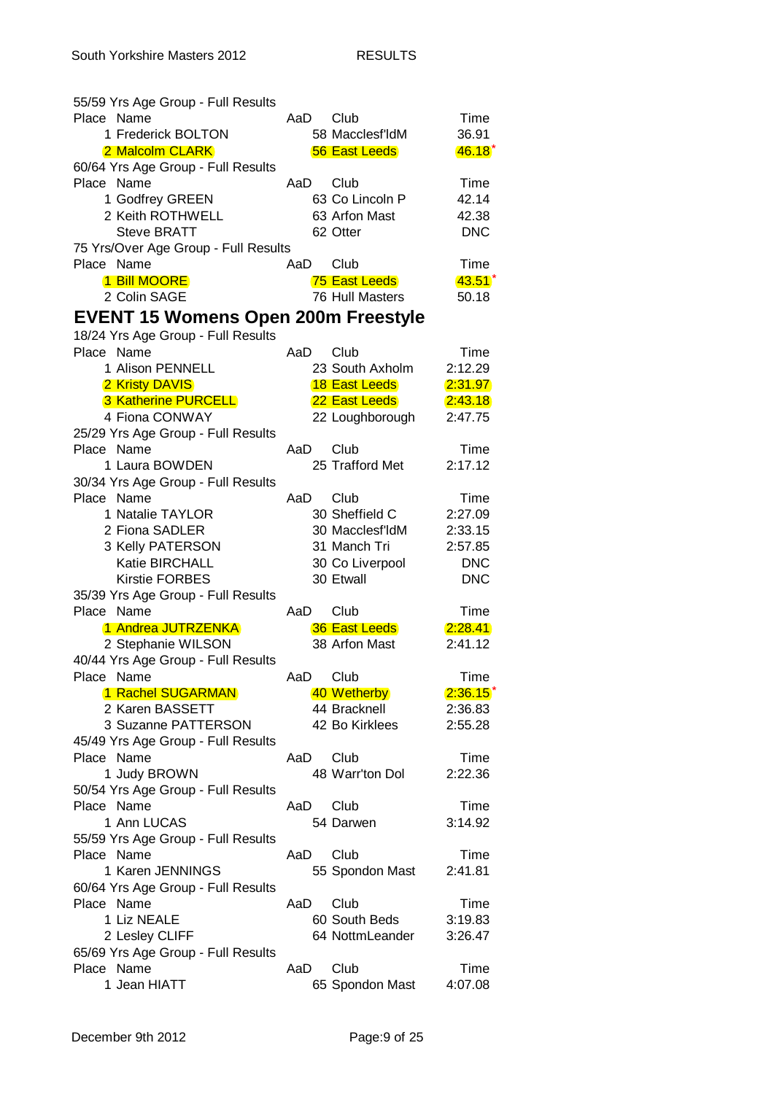| 55/59 Yrs Age Group - Full Results         |      |                      |            |
|--------------------------------------------|------|----------------------|------------|
| Place Name                                 | AaD. | Club                 | Time       |
| 1 Frederick BOLTON                         |      | 58 Macclesf'ldM      | 36.91      |
| 2 Malcolm CLARK                            |      | <b>56 East Leeds</b> | $46.18*$   |
| 60/64 Yrs Age Group - Full Results         |      |                      |            |
| Place Name                                 | AaD  | Club                 | Time       |
| 1 Godfrey GREEN                            |      | 63 Co Lincoln P      | 42.14      |
| 2 Keith ROTHWELL                           |      | 63 Arfon Mast        | 42.38      |
| <b>Steve BRATT</b>                         |      | 62 Otter             | <b>DNC</b> |
| 75 Yrs/Over Age Group - Full Results       |      |                      |            |
| Place Name                                 | AaD  | Club                 | Time       |
| 1 Bill MOORE                               |      | 75 East Leeds        | $43.51*$   |
| 2 Colin SAGE                               |      | 76 Hull Masters      | 50.18      |
| <b>EVENT 15 Womens Open 200m Freestyle</b> |      |                      |            |
| 18/24 Yrs Age Group - Full Results         |      |                      |            |
| Place Name                                 | AaD  | Club                 | Time       |
| 1 Alison PENNELL                           |      | 23 South Axholm      | 2:12.29    |
|                                            |      |                      |            |
| 2 Kristy DAVIS                             |      | <b>18 East Leeds</b> | 2:31.97    |
| <b>3 Katherine PURCELL</b>                 |      | 22 East Leeds        | 2:43.18    |
| 4 Fiona CONWAY                             |      | 22 Loughborough      | 2:47.75    |
| 25/29 Yrs Age Group - Full Results         |      |                      |            |
| Place Name                                 | AaD  | Club                 | Time       |
| 1 Laura BOWDEN                             |      | 25 Trafford Met      | 2:17.12    |
| 30/34 Yrs Age Group - Full Results         |      |                      |            |
| Place Name                                 | AaD. | Club                 | Time       |
| 1 Natalie TAYLOR                           |      | 30 Sheffield C       | 2:27.09    |
| 2 Fiona SADLER                             |      | 30 Macclesf'ldM      | 2:33.15    |
| 3 Kelly PATERSON                           |      | 31 Manch Tri         | 2:57.85    |
| Katie BIRCHALL                             |      | 30 Co Liverpool      | <b>DNC</b> |
| <b>Kirstie FORBES</b>                      |      | 30 Etwall            | <b>DNC</b> |
| 35/39 Yrs Age Group - Full Results         |      |                      |            |
| Place Name                                 | AaD  | Club                 | Time       |
| 1 Andrea JUTRZENKA                         |      | <b>36 East Leeds</b> | 2:28.41    |
| 2 Stephanie WILSON                         |      | 38 Arfon Mast        | 2:41.12    |
| 40/44 Yrs Age Group - Full Results         |      |                      |            |
| Place Name                                 |      | AaD Club             | Time       |
| 1 Rachel SUGARMAN                          |      | 40 Wetherby          | $2:36.15*$ |
| 2 Karen BASSETT                            |      | 44 Bracknell         | 2:36.83    |
| 3 Suzanne PATTERSON                        |      | 42 Bo Kirklees       | 2:55.28    |
| 45/49 Yrs Age Group - Full Results         |      |                      |            |
| Place Name                                 | AaD  | Club                 | Time       |
| 1 Judy BROWN                               |      | 48 Warr'ton Dol      | 2:22.36    |
| 50/54 Yrs Age Group - Full Results         |      |                      |            |
| Place Name                                 | AaD  | Club                 | Time       |
| 1 Ann LUCAS                                |      | 54 Darwen            | 3:14.92    |
| 55/59 Yrs Age Group - Full Results         |      |                      |            |
| Place Name                                 | AaD  | Club                 | Time       |
| 1 Karen JENNINGS                           |      | 55 Spondon Mast      | 2:41.81    |
| 60/64 Yrs Age Group - Full Results         |      |                      |            |
| Place Name                                 | AaD  | Club                 | Time       |
| 1 Liz NEALE                                |      | 60 South Beds        | 3:19.83    |
| 2 Lesley CLIFF                             |      | 64 NottmLeander      | 3:26.47    |
| 65/69 Yrs Age Group - Full Results         |      |                      |            |
| Place Name                                 | AaD  | Club                 | Time       |
| 1 Jean HIATT                               |      | 65 Spondon Mast      | 4:07.08    |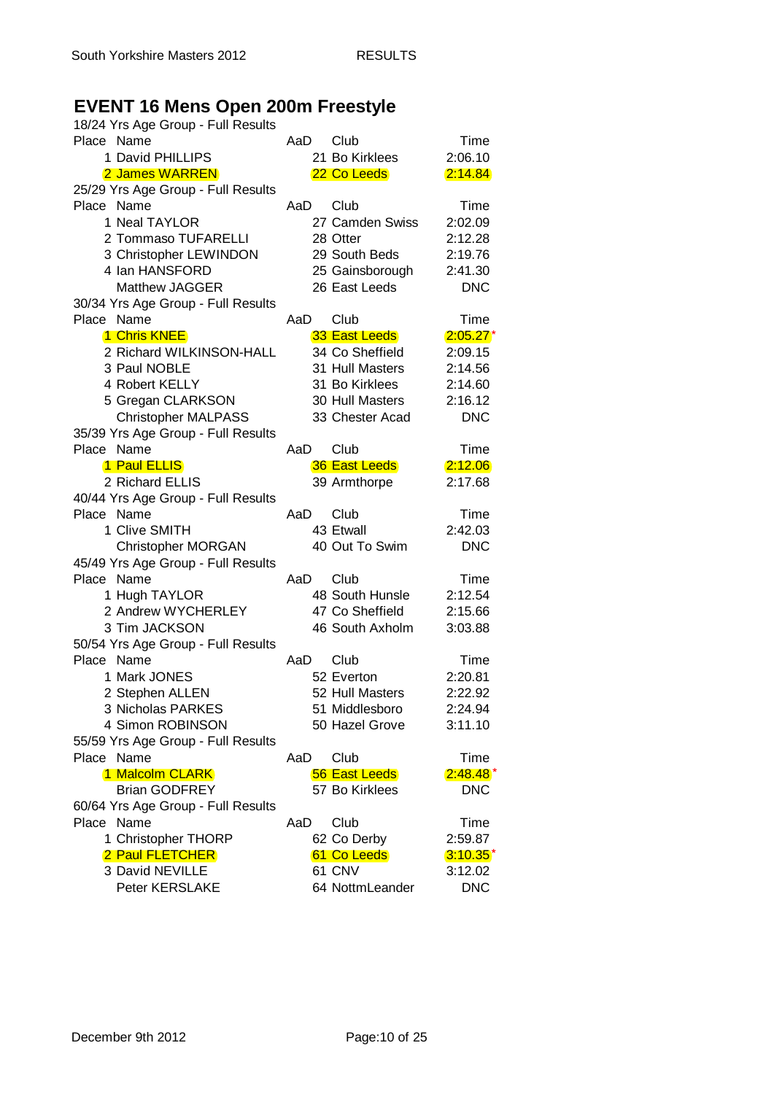## **EVENT 16 Mens Open 200m Freestyle**

| 18/24 Yrs Age Group - Full Results |      |                      |             |
|------------------------------------|------|----------------------|-------------|
| Place Name                         | AaD  | Club                 | Time        |
| 1 David PHILLIPS                   |      | 21 Bo Kirklees       | 2:06.10     |
| 2 James WARREN                     |      | 22 Co Leeds          | 2:14.84     |
| 25/29 Yrs Age Group - Full Results |      |                      |             |
| Place Name                         | AaD  | Club                 | Time        |
| 1 Neal TAYLOR                      |      | 27 Camden Swiss      | 2:02.09     |
| 2 Tommaso TUFARELLI                |      | 28 Otter             | 2:12.28     |
| 3 Christopher LEWINDON             |      | 29 South Beds        | 2:19.76     |
| 4 Ian HANSFORD                     |      | 25 Gainsborough      | 2:41.30     |
| <b>Matthew JAGGER</b>              |      | 26 East Leeds        | <b>DNC</b>  |
| 30/34 Yrs Age Group - Full Results |      |                      |             |
| Place Name                         | AaD  | Club                 | Time        |
| 1 Chris KNEE                       |      | 33 East Leeds        | $2:05.27*$  |
| 2 Richard WILKINSON-HALL           |      | 34 Co Sheffield      | 2:09.15     |
|                                    |      |                      |             |
| 3 Paul NOBLE                       |      | 31 Hull Masters      | 2:14.56     |
| 4 Robert KELLY                     |      | 31 Bo Kirklees       | 2:14.60     |
| 5 Gregan CLARKSON                  |      | 30 Hull Masters      | 2:16.12     |
| <b>Christopher MALPASS</b>         |      | 33 Chester Acad      | <b>DNC</b>  |
| 35/39 Yrs Age Group - Full Results |      |                      |             |
| Place Name                         | AaD  | Club                 | Time        |
| 1 Paul ELLIS                       |      | <b>36 East Leeds</b> | 2:12.06     |
| 2 Richard ELLIS                    |      | 39 Armthorpe         | 2:17.68     |
| 40/44 Yrs Age Group - Full Results |      |                      |             |
| Place Name                         | AaD  | Club                 | Time        |
| 1 Clive SMITH                      |      | 43 Etwall            | 2:42.03     |
| <b>Christopher MORGAN</b>          |      | 40 Out To Swim       | <b>DNC</b>  |
| 45/49 Yrs Age Group - Full Results |      |                      |             |
| Place Name                         | AaD. | Club                 | Time        |
| 1 Hugh TAYLOR                      |      | 48 South Hunsle      | 2:12.54     |
| 2 Andrew WYCHERLEY                 |      | 47 Co Sheffield      | 2:15.66     |
| 3 Tim JACKSON                      |      | 46 South Axholm      | 3:03.88     |
| 50/54 Yrs Age Group - Full Results |      |                      |             |
| Place Name                         | AaD. | Club                 | Time        |
| 1 Mark JONES                       |      | 52 Everton           | 2:20.81     |
| 2 Stephen ALLEN                    |      | 52 Hull Masters      | 2:22.92     |
| 3 Nicholas PARKES                  |      | 51 Middlesboro       | 2:24.94     |
| 4 Simon ROBINSON                   |      | 50 Hazel Grove       | 3:11.10     |
| 55/59 Yrs Age Group - Full Results |      |                      |             |
| Place Name                         | AaD  | Club                 | Time        |
| 1 Malcolm CLARK                    |      | <b>56 East Leeds</b> | $2:48.48*$  |
| <b>Brian GODFREY</b>               |      | 57 Bo Kirklees       | <b>DNC</b>  |
|                                    |      |                      |             |
| 60/64 Yrs Age Group - Full Results |      |                      |             |
| Place Name                         | AaD  | Club                 | Time        |
| 1 Christopher THORP                |      | 62 Co Derby          | 2:59.87     |
| 2 Paul FLETCHER                    |      | 61 Co Leeds          | $3:10.35^*$ |
| 3 David NEVILLE                    |      | 61 CNV               | 3:12.02     |
| Peter KERSLAKE                     |      | 64 NottmLeander      | <b>DNC</b>  |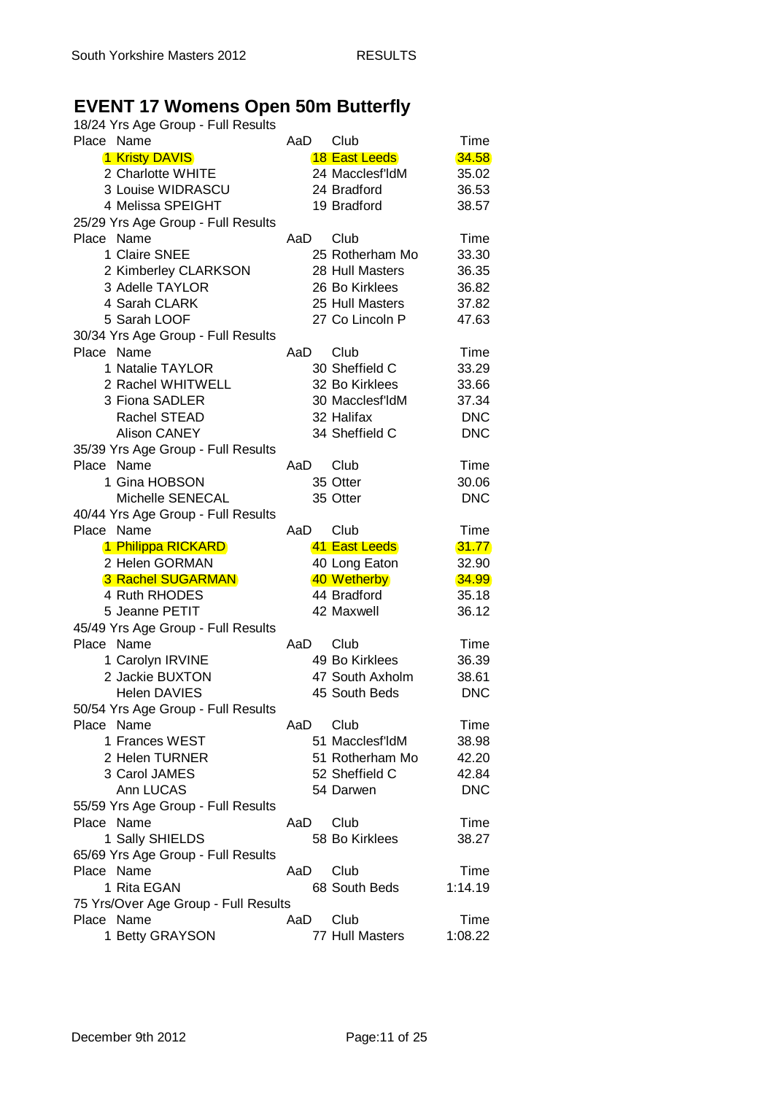## **EVENT 17 Womens Open 50m Butterfly**

| 18/24 Yrs Age Group - Full Results   |      |                      |            |
|--------------------------------------|------|----------------------|------------|
| Place Name                           | AaD  | Club                 | Time       |
| 1 Kristy DAVIS                       |      | <b>18 East Leeds</b> | 34.58      |
| 2 Charlotte WHITE                    |      | 24 Macclesf'ldM      | 35.02      |
| 3 Louise WIDRASCU                    |      | 24 Bradford          | 36.53      |
| 4 Melissa SPEIGHT                    |      | 19 Bradford          | 38.57      |
| 25/29 Yrs Age Group - Full Results   |      |                      |            |
| Place Name                           | AaD  | Club                 | Time       |
| 1 Claire SNEE                        |      | 25 Rotherham Mo      | 33.30      |
| 2 Kimberley CLARKSON                 |      | 28 Hull Masters      | 36.35      |
| 3 Adelle TAYLOR                      |      | 26 Bo Kirklees       | 36.82      |
| 4 Sarah CLARK                        |      |                      |            |
|                                      |      | 25 Hull Masters      | 37.82      |
| 5 Sarah LOOF                         |      | 27 Co Lincoln P      | 47.63      |
| 30/34 Yrs Age Group - Full Results   |      |                      |            |
| Place Name                           | AaD  | Club                 | Time       |
| 1 Natalie TAYLOR                     |      | 30 Sheffield C       | 33.29      |
| 2 Rachel WHITWELL                    |      | 32 Bo Kirklees       | 33.66      |
| 3 Fiona SADLER                       |      | 30 Macclesf'ldM      | 37.34      |
| Rachel STEAD                         |      | 32 Halifax           | <b>DNC</b> |
| <b>Alison CANEY</b>                  |      | 34 Sheffield C       | <b>DNC</b> |
| 35/39 Yrs Age Group - Full Results   |      |                      |            |
| Place Name                           | AaD  | Club                 | Time       |
| 1 Gina HOBSON                        |      | 35 Otter             | 30.06      |
| Michelle SENECAL                     |      | 35 Otter             | <b>DNC</b> |
| 40/44 Yrs Age Group - Full Results   |      |                      |            |
| Place Name                           | AaD  | Club                 | Time       |
| 1 Philippa RICKARD                   |      | 41 East Leeds        | 31.77      |
| 2 Helen GORMAN                       |      | 40 Long Eaton        | 32.90      |
| <b>3 Rachel SUGARMAN</b>             |      | 40 Wetherby          | 34.99      |
| 4 Ruth RHODES                        |      | 44 Bradford          | 35.18      |
| 5 Jeanne PETIT                       |      | 42 Maxwell           | 36.12      |
| 45/49 Yrs Age Group - Full Results   |      |                      |            |
| Place Name                           | AaD  | Club                 | Time       |
| 1 Carolyn IRVINE                     |      | 49 Bo Kirklees       | 36.39      |
| 2 Jackie BUXTON                      |      | 47 South Axholm      | 38.61      |
| <b>Helen DAVIES</b>                  |      | 45 South Beds        | <b>DNC</b> |
| 50/54 Yrs Age Group - Full Results   |      |                      |            |
| Place Name                           | AaD  | Club                 | Time       |
| 1 Frances WEST                       |      | 51 Macclesf'ldM      | 38.98      |
| 2 Helen TURNER                       |      | 51 Rotherham Mo      | 42.20      |
|                                      |      |                      |            |
| 3 Carol JAMES                        |      | 52 Sheffield C       | 42.84      |
| Ann LUCAS                            |      | 54 Darwen            | <b>DNC</b> |
| 55/59 Yrs Age Group - Full Results   |      |                      |            |
| Place Name                           | AaD  | Club                 | Time       |
| 1 Sally SHIELDS                      |      | 58 Bo Kirklees       | 38.27      |
| 65/69 Yrs Age Group - Full Results   |      |                      |            |
| Place Name                           | AaD. | Club                 | Time       |
| 1 Rita EGAN                          |      | 68 South Beds        | 1:14.19    |
| 75 Yrs/Over Age Group - Full Results |      |                      |            |
| Place Name                           | AaD  | Club                 | Time       |
| 1 Betty GRAYSON                      |      | 77 Hull Masters      | 1:08.22    |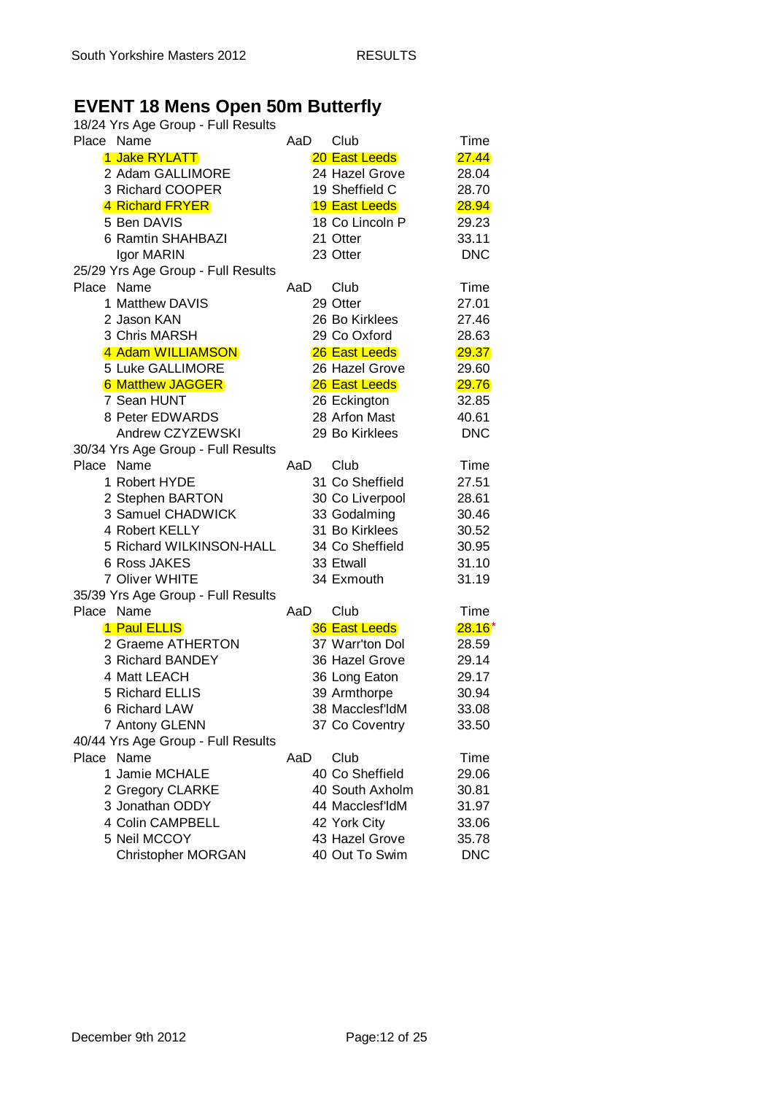# **EVENT 18 Mens Open 50m Butterfly**

| 18/24 Yrs Age Group - Full Results               |                                |            |
|--------------------------------------------------|--------------------------------|------------|
| Place Name                                       | Club<br>AaD                    | Time       |
| 1 Jake RYLATT                                    | <b>20 East Leeds</b>           | 27.44      |
| 2 Adam GALLIMORE                                 | 24 Hazel Grove                 | 28.04      |
| 3 Richard COOPER                                 | 19 Sheffield C                 | 28.70      |
| 4 Richard FRYER                                  | <b>19 East Leeds</b>           | 28.94      |
| 5 Ben DAVIS                                      | 18 Co Lincoln P                | 29.23      |
| 6 Ramtin SHAHBAZI                                | 21 Otter                       | 33.11      |
| Igor MARIN                                       | 23 Otter                       | <b>DNC</b> |
| 25/29 Yrs Age Group - Full Results               |                                |            |
| Place Name                                       | Club<br>AaD                    | Time       |
| 1 Matthew DAVIS                                  | 29 Otter                       | 27.01      |
| 2 Jason KAN                                      | 26 Bo Kirklees                 | 27.46      |
| 3 Chris MARSH                                    | 29 Co Oxford                   | 28.63      |
| 4 Adam WILLIAMSON                                | 26 East Leeds                  | 29.37      |
| 5 Luke GALLIMORE                                 | 26 Hazel Grove                 | 29.60      |
| <b>6 Matthew JAGGER</b>                          | 26 East Leeds                  | 29.76      |
| 7 Sean HUNT                                      | 26 Eckington                   | 32.85      |
| 8 Peter EDWARDS                                  | 28 Arfon Mast                  | 40.61      |
| Andrew CZYZEWSKI                                 | 29 Bo Kirklees                 | <b>DNC</b> |
|                                                  |                                |            |
| 30/34 Yrs Age Group - Full Results<br>Place Name |                                |            |
| 1 Robert HYDE                                    | Club<br>AaD<br>31 Co Sheffield | Time       |
|                                                  |                                | 27.51      |
| 2 Stephen BARTON                                 | 30 Co Liverpool                | 28.61      |
| 3 Samuel CHADWICK                                | 33 Godalming                   | 30.46      |
| 4 Robert KELLY                                   | 31 Bo Kirklees                 | 30.52      |
| 5 Richard WILKINSON-HALL                         | 34 Co Sheffield                | 30.95      |
| <b>6 Ross JAKES</b>                              | 33 Etwall                      | 31.10      |
| 7 Oliver WHITE                                   | 34 Exmouth                     | 31.19      |
| 35/39 Yrs Age Group - Full Results               |                                |            |
| Place Name                                       | Club<br>AaD                    | Time       |
| 1 Paul ELLIS                                     | <b>36 East Leeds</b>           | $28.16*$   |
| 2 Graeme ATHERTON                                | 37 Warr'ton Dol                | 28.59      |
| 3 Richard BANDEY                                 | 36 Hazel Grove                 | 29.14      |
| 4 Matt LEACH                                     | 36 Long Eaton                  | 29.17      |
| 5 Richard ELLIS                                  | 39 Armthorpe                   | 30.94      |
| 6 Richard LAW                                    | 38 Macclesf'ldM                | 33.08      |
| 7 Antony GLENN                                   | 37 Co Coventry                 | 33.50      |
| 40/44 Yrs Age Group - Full Results               |                                |            |
| Place Name                                       | Club<br>AaD                    | Time       |
| 1 Jamie MCHALE                                   | 40 Co Sheffield                | 29.06      |
| 2 Gregory CLARKE                                 | 40 South Axholm                | 30.81      |
| 3 Jonathan ODDY                                  | 44 Macclesf'ldM                | 31.97      |
| 4 Colin CAMPBELL                                 | 42 York City                   | 33.06      |
| 5 Neil MCCOY                                     | 43 Hazel Grove                 | 35.78      |
| <b>Christopher MORGAN</b>                        | 40 Out To Swim                 | <b>DNC</b> |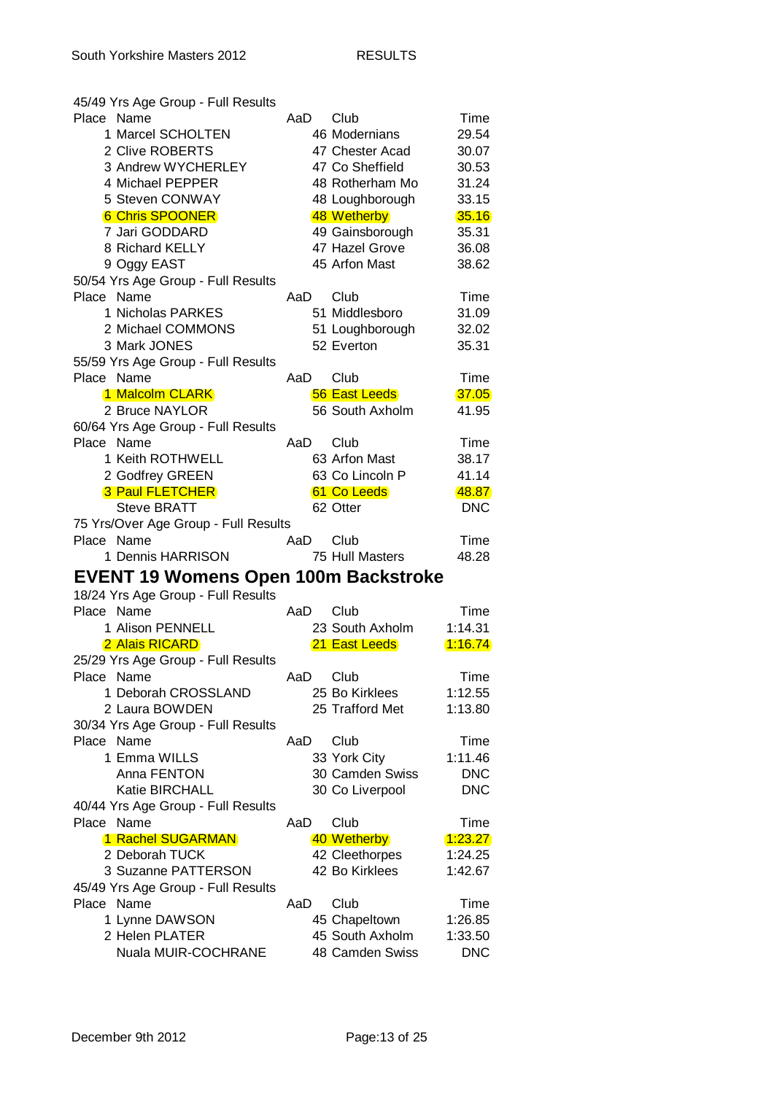|            | 45/49 Yrs Age Group - Full Results          |     |                                    |                       |
|------------|---------------------------------------------|-----|------------------------------------|-----------------------|
| Place Name |                                             | AaD | Club                               | Time                  |
|            | 1 Marcel SCHOLTEN                           |     | 46 Modernians                      | 29.54                 |
|            | 2 Clive ROBERTS                             |     | 47 Chester Acad                    | 30.07                 |
|            | 3 Andrew WYCHERLEY                          |     | 47 Co Sheffield                    | 30.53                 |
|            | 4 Michael PEPPER                            |     | 48 Rotherham Mo                    | 31.24                 |
|            | 5 Steven CONWAY                             |     | 48 Loughborough                    | 33.15                 |
|            | <b>6 Chris SPOONER</b>                      |     | 48 Wetherby                        | 35.16                 |
|            | 7 Jari GODDARD                              |     | 49 Gainsborough                    | 35.31                 |
|            | 8 Richard KELLY                             |     | 47 Hazel Grove                     | 36.08                 |
|            | 9 Oggy EAST                                 |     | 45 Arfon Mast                      | 38.62                 |
|            | 50/54 Yrs Age Group - Full Results          |     |                                    |                       |
| Place Name |                                             | AaD | Club                               | Time                  |
|            | 1 Nicholas PARKES                           |     | 51 Middlesboro                     | 31.09                 |
|            | 2 Michael COMMONS                           |     |                                    |                       |
|            |                                             |     | 51 Loughborough                    | 32.02                 |
|            | 3 Mark JONES                                |     | 52 Everton                         | 35.31                 |
|            | 55/59 Yrs Age Group - Full Results          |     |                                    |                       |
| Place Name |                                             | AaD | Club                               | Time                  |
|            | 1 Malcolm CLARK                             |     | <b>56 East Leeds</b>               | 37.05                 |
|            | 2 Bruce NAYLOR                              |     | 56 South Axholm                    | 41.95                 |
|            | 60/64 Yrs Age Group - Full Results          |     |                                    |                       |
| Place Name |                                             | AaD | Club                               | Time                  |
|            | 1 Keith ROTHWELL                            |     | 63 Arfon Mast                      | 38.17                 |
|            | 2 Godfrey GREEN                             |     | 63 Co Lincoln P                    | 41.14                 |
|            | <b>3 Paul FLETCHER</b>                      |     | 61 Co Leeds                        | 48.87                 |
|            | <b>Steve BRATT</b>                          |     | 62 Otter                           | <b>DNC</b>            |
|            | 75 Yrs/Over Age Group - Full Results        |     |                                    |                       |
|            |                                             |     |                                    |                       |
| Place Name |                                             | AaD | Club                               | Time                  |
|            | 1 Dennis HARRISON                           |     | 75 Hull Masters                    | 48.28                 |
|            |                                             |     |                                    |                       |
|            | <b>EVENT 19 Womens Open 100m Backstroke</b> |     |                                    |                       |
|            | 18/24 Yrs Age Group - Full Results          |     |                                    |                       |
| Place Name |                                             | AaD | Club                               | Time                  |
|            | 1 Alison PENNELL                            |     | 23 South Axholm                    | 1:14.31               |
|            | 2 Alais RICARD                              |     | 21 East Leeds                      | 1:16.74               |
|            | 25/29 Yrs Age Group - Full Results          |     |                                    |                       |
| Place Name |                                             | AaD | Club                               | Time                  |
|            | 1 Deborah CROSSLAND                         |     | 25 Bo Kirklees                     | 1:12.55               |
|            | 2 Laura BOWDEN                              |     | 25 Trafford Met                    | 1:13.80               |
|            | 30/34 Yrs Age Group - Full Results          |     |                                    |                       |
| Place Name |                                             | AaD | Club                               | Time                  |
|            | 1 Emma WILLS                                |     | 33 York City                       | 1:11.46               |
|            | Anna FENTON                                 |     | 30 Camden Swiss                    | <b>DNC</b>            |
|            | Katie BIRCHALL                              |     | 30 Co Liverpool                    | <b>DNC</b>            |
|            |                                             |     |                                    |                       |
| Place Name | 40/44 Yrs Age Group - Full Results          | AaD | Club                               | Time                  |
|            |                                             |     |                                    |                       |
|            | 1 Rachel SUGARMAN                           |     | 40 Wetherby                        | 1:23.27               |
|            | 2 Deborah TUCK                              |     | 42 Cleethorpes                     | 1:24.25               |
|            | 3 Suzanne PATTERSON                         |     | 42 Bo Kirklees                     | 1:42.67               |
|            | 45/49 Yrs Age Group - Full Results          |     |                                    |                       |
| Place Name |                                             | AaD | Club                               | Time                  |
|            | 1 Lynne DAWSON                              |     | 45 Chapeltown                      | 1:26.85               |
|            | 2 Helen PLATER<br>Nuala MUIR-COCHRANE       |     | 45 South Axholm<br>48 Camden Swiss | 1:33.50<br><b>DNC</b> |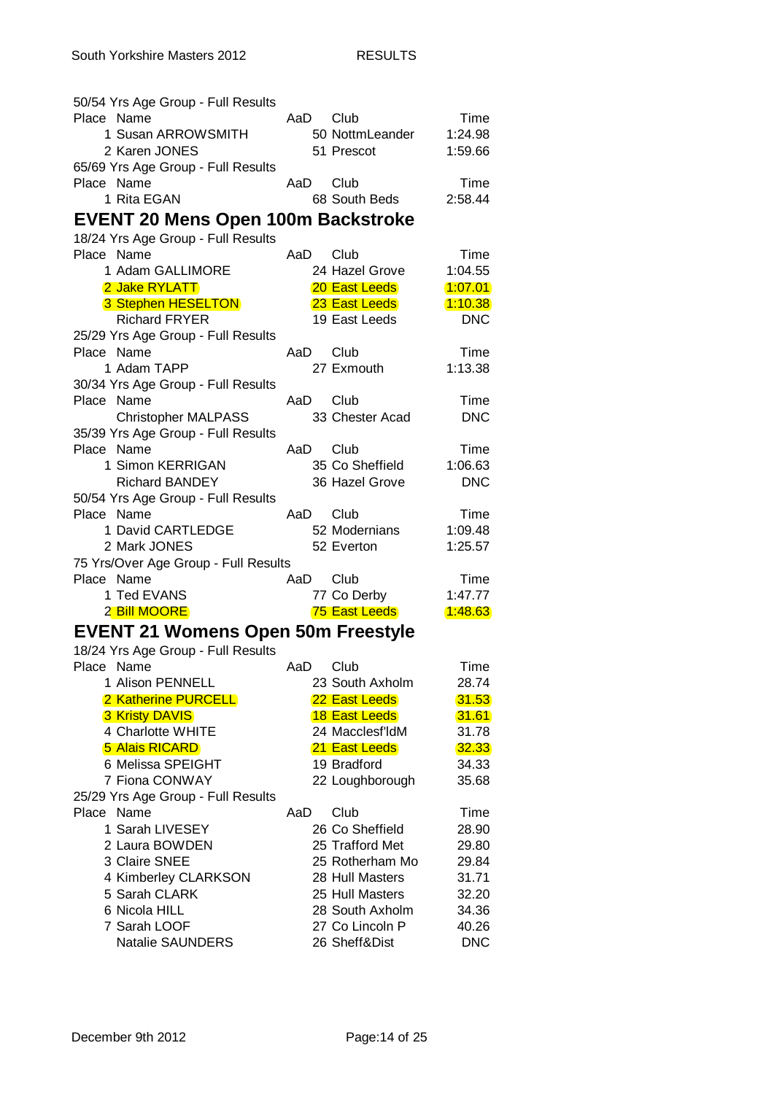| 50/54 Yrs Age Group - Full Results               |      |                         |            |
|--------------------------------------------------|------|-------------------------|------------|
| Place Name                                       | AaD  | Club                    | Time       |
| 1 Susan ARROWSMITH                               |      | 50 NottmLeander         | 1:24.98    |
| 2 Karen JONES                                    |      | 51 Prescot              | 1:59.66    |
| 65/69 Yrs Age Group - Full Results               |      |                         |            |
| Place Name                                       | AaD. | Club                    | Time       |
| 1 Rita EGAN                                      |      | 68 South Beds           | 2:58.44    |
| <b>EVENT 20 Mens Open 100m Backstroke</b>        |      |                         |            |
| 18/24 Yrs Age Group - Full Results               |      |                         |            |
| Place Name                                       | AaD  | Club                    | Time       |
| 1 Adam GALLIMORE                                 |      | 24 Hazel Grove          | 1:04.55    |
| 2 Jake RYLATT                                    |      | 20 East Leeds           | 1.07.01    |
| 3 Stephen HESELTON                               |      | 23 East Leeds           | 1:10.38    |
| <b>Richard FRYER</b>                             |      | 19 East Leeds           | <b>DNC</b> |
| 25/29 Yrs Age Group - Full Results               |      |                         |            |
| Place Name                                       | AaD  | Club                    | Time       |
| 1 Adam TAPP                                      |      | 27 Exmouth              | 1:13.38    |
|                                                  |      |                         |            |
| 30/34 Yrs Age Group - Full Results<br>Place Name |      |                         |            |
|                                                  | AaD  | Club<br>33 Chester Acad | Time       |
| <b>Christopher MALPASS</b>                       |      |                         | <b>DNC</b> |
| 35/39 Yrs Age Group - Full Results<br>Place Name |      |                         |            |
| 1 Simon KERRIGAN                                 | AaD  | Club                    | Time       |
|                                                  |      | 35 Co Sheffield         | 1:06.63    |
| <b>Richard BANDEY</b>                            |      | 36 Hazel Grove          | <b>DNC</b> |
| 50/54 Yrs Age Group - Full Results               |      |                         |            |
| Place Name                                       | AaD  | Club                    | Time       |
| 1 David CARTLEDGE                                |      | 52 Modernians           | 1:09.48    |
| 2 Mark JONES                                     |      | 52 Everton              | 1:25.57    |
| 75 Yrs/Over Age Group - Full Results             |      |                         |            |
| Place Name                                       | AaD  | Club                    | Time       |
| 1 Ted EVANS                                      |      | 77 Co Derby             | 1:47.77    |
| 2 Bill MOORE                                     |      | 75 East Leeds           | 1.48.63    |
| <b>EVENT 21 Womens Open 50m Freestyle</b>        |      |                         |            |
| 18/24 Yrs Age Group - Full Results               |      |                         |            |
| Place Name                                       | AaD  | Club                    | Time       |
| 1 Alison PENNELL                                 |      | 23 South Axholm         | 28.74      |
| 2 Katherine PURCELL                              |      | 22 East Leeds           | 31.53      |
| <b>3 Kristy DAVIS</b>                            |      | <b>18 East Leeds</b>    | 31.61      |
| 4 Charlotte WHITE                                |      | 24 Macclesf'ldM         | 31.78      |
| <b>5 Alais RICARD</b>                            |      | 21 East Leeds           | 32.33      |
| 6 Melissa SPEIGHT                                |      | 19 Bradford             | 34.33      |
| 7 Fiona CONWAY                                   |      | 22 Loughborough         | 35.68      |
| 25/29 Yrs Age Group - Full Results               |      |                         |            |
| Place Name                                       | AaD  | Club                    | Time       |
| 1 Sarah LIVESEY                                  |      | 26 Co Sheffield         | 28.90      |
| 2 Laura BOWDEN                                   |      | 25 Trafford Met         | 29.80      |
| 3 Claire SNEE                                    |      | 25 Rotherham Mo         | 29.84      |
| 4 Kimberley CLARKSON                             |      | 28 Hull Masters         | 31.71      |
| 5 Sarah CLARK                                    |      | 25 Hull Masters         | 32.20      |
| 6 Nicola HILL                                    |      | 28 South Axholm         | 34.36      |
| 7 Sarah LOOF                                     |      | 27 Co Lincoln P         | 40.26      |
| <b>Natalie SAUNDERS</b>                          |      | 26 Sheff&Dist           | <b>DNC</b> |
|                                                  |      |                         |            |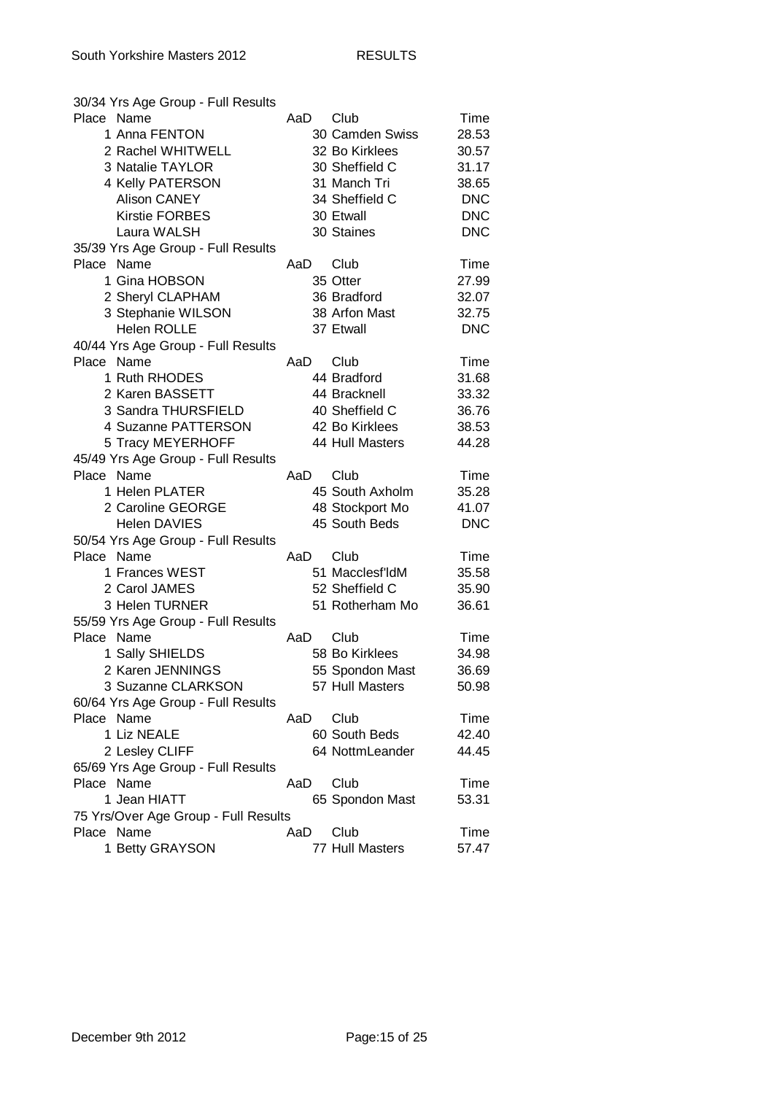| 30/34 Yrs Age Group - Full Results   |     |                 |            |
|--------------------------------------|-----|-----------------|------------|
| Place Name                           | AaD | Club            | Time       |
| 1 Anna FENTON                        |     | 30 Camden Swiss | 28.53      |
| 2 Rachel WHITWELL                    |     | 32 Bo Kirklees  | 30.57      |
| 3 Natalie TAYLOR                     |     | 30 Sheffield C  | 31.17      |
| 4 Kelly PATERSON                     |     | 31 Manch Tri    | 38.65      |
| <b>Alison CANEY</b>                  |     | 34 Sheffield C  | <b>DNC</b> |
| <b>Kirstie FORBES</b>                |     | 30 Etwall       | <b>DNC</b> |
| Laura WALSH                          |     | 30 Staines      | <b>DNC</b> |
| 35/39 Yrs Age Group - Full Results   |     |                 |            |
| Place Name                           | AaD | Club            | Time       |
| 1 Gina HOBSON                        |     | 35 Otter        | 27.99      |
| 2 Sheryl CLAPHAM                     |     | 36 Bradford     | 32.07      |
| 3 Stephanie WILSON                   |     | 38 Arfon Mast   | 32.75      |
| <b>Helen ROLLE</b>                   |     | 37 Etwall       | <b>DNC</b> |
| 40/44 Yrs Age Group - Full Results   |     |                 |            |
| Place Name                           | AaD | Club            | Time       |
| 1 Ruth RHODES                        |     |                 |            |
| 2 Karen BASSETT                      |     | 44 Bradford     | 31.68      |
|                                      |     | 44 Bracknell    | 33.32      |
| 3 Sandra THURSFIELD                  |     | 40 Sheffield C  | 36.76      |
| 4 Suzanne PATTERSON                  |     | 42 Bo Kirklees  | 38.53      |
| 5 Tracy MEYERHOFF                    |     | 44 Hull Masters | 44.28      |
| 45/49 Yrs Age Group - Full Results   |     |                 |            |
| Place Name                           | AaD | Club            | Time       |
| 1 Helen PLATER                       |     | 45 South Axholm | 35.28      |
| 2 Caroline GEORGE                    |     | 48 Stockport Mo | 41.07      |
| <b>Helen DAVIES</b>                  |     | 45 South Beds   | <b>DNC</b> |
| 50/54 Yrs Age Group - Full Results   |     |                 |            |
| Place Name                           | AaD | Club            | Time       |
| 1 Frances WEST                       |     | 51 Macclesf'ldM | 35.58      |
| 2 Carol JAMES                        |     | 52 Sheffield C  | 35.90      |
| 3 Helen TURNER                       |     | 51 Rotherham Mo | 36.61      |
| 55/59 Yrs Age Group - Full Results   |     |                 |            |
| Place Name                           | AaD | Club            | Time       |
| 1 Sally SHIELDS                      |     | 58 Bo Kirklees  | 34.98      |
| 2 Karen JENNINGS                     |     | 55 Spondon Mast | 36.69      |
| 3 Suzanne CLARKSON                   |     | 57 Hull Masters | 50.98      |
| 60/64 Yrs Age Group - Full Results   |     |                 |            |
| Place Name                           | AaD | Club            | Time       |
| 1 Liz NEALE                          |     | 60 South Beds   | 42.40      |
| 2 Lesley CLIFF                       |     | 64 NottmLeander | 44.45      |
| 65/69 Yrs Age Group - Full Results   |     |                 |            |
| Place Name                           | AaD | Club            | Time       |
| 1 Jean HIATT                         |     | 65 Spondon Mast | 53.31      |
| 75 Yrs/Over Age Group - Full Results |     |                 |            |
| Place Name                           | AaD | Club            | Time       |
| 1 Betty GRAYSON                      |     | 77 Hull Masters | 57.47      |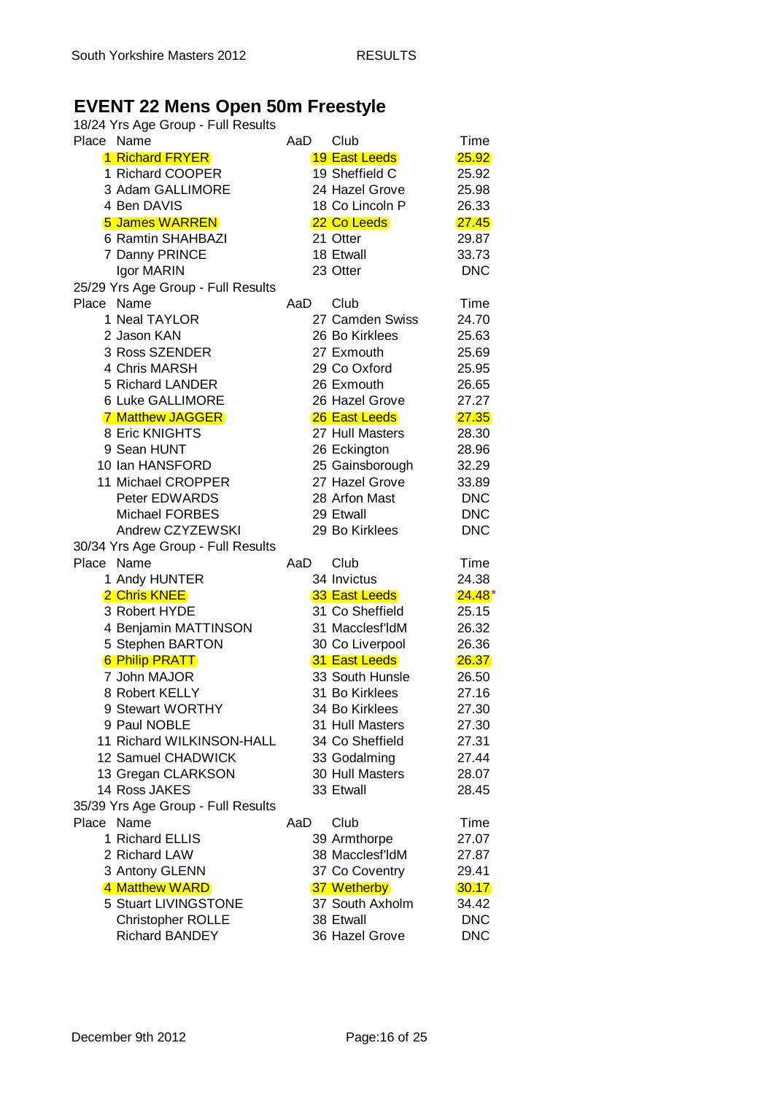# **EVENT 22 Mens Open 50m Freestyle**

| 18/24 Yrs Age Group - Full Results |                 |            |
|------------------------------------|-----------------|------------|
| Place Name                         | Club<br>AaD     | Time       |
| <b>1 Richard FRYER</b>             | 19 East Leeds   | 25.92      |
| 1 Richard COOPER                   | 19 Sheffield C  | 25.92      |
| 3 Adam GALLIMORE                   | 24 Hazel Grove  | 25.98      |
| 4 Ben DAVIS                        | 18 Co Lincoln P | 26.33      |
| <b>5 James WARREN</b>              | 22 Co Leeds     | 27.45      |
| 6 Ramtin SHAHBAZI                  | 21 Otter        | 29.87      |
| 7 Danny PRINCE                     | 18 Etwall       | 33.73      |
| Igor MARIN                         | 23 Otter        | <b>DNC</b> |
| 25/29 Yrs Age Group - Full Results |                 |            |
| Place Name                         | Club<br>AaD.    | Time       |
| 1 Neal TAYLOR                      | 27 Camden Swiss | 24.70      |
| 2 Jason KAN                        |                 |            |
|                                    | 26 Bo Kirklees  | 25.63      |
| 3 Ross SZENDER                     | 27 Exmouth      | 25.69      |
| 4 Chris MARSH                      | 29 Co Oxford    | 25.95      |
| 5 Richard LANDER                   | 26 Exmouth      | 26.65      |
| 6 Luke GALLIMORE                   | 26 Hazel Grove  | 27.27      |
| <b>7 Matthew JAGGER</b>            | 26 East Leeds   | 27.35      |
| 8 Eric KNIGHTS                     | 27 Hull Masters | 28.30      |
| 9 Sean HUNT                        | 26 Eckington    | 28.96      |
| 10 Ian HANSFORD                    | 25 Gainsborough | 32.29      |
| 11 Michael CROPPER                 | 27 Hazel Grove  | 33.89      |
| Peter EDWARDS                      | 28 Arfon Mast   | <b>DNC</b> |
| <b>Michael FORBES</b>              | 29 Etwall       | <b>DNC</b> |
| Andrew CZYZEWSKI                   | 29 Bo Kirklees  | <b>DNC</b> |
| 30/34 Yrs Age Group - Full Results |                 |            |
| Place Name                         | Club<br>AaD.    | Time       |
| 1 Andy HUNTER                      | 34 Invictus     | 24.38      |
| 2 Chris KNEE                       | 33 East Leeds   | $24.48*$   |
| 3 Robert HYDE                      | 31 Co Sheffield | 25.15      |
|                                    |                 |            |
| 4 Benjamin MATTINSON               | 31 Macclesf'ldM | 26.32      |
| 5 Stephen BARTON                   | 30 Co Liverpool | 26.36      |
| <b>6 Philip PRATT</b>              | 31 East Leeds   | 26.37      |
| 7 John MAJOR                       | 33 South Hunsle | 26.50      |
| 8 Robert KELLY                     | 31 Bo Kirklees  | 27.16      |
| 9 Stewart WORTHY                   | 34 Bo Kirklees  | 27.30      |
| 9 Paul NOBLE                       | 31 Hull Masters | 27.30      |
| 11 Richard WILKINSON-HALL          | 34 Co Sheffield | 27.31      |
| 12 Samuel CHADWICK                 | 33 Godalming    | 27.44      |
| 13 Gregan CLARKSON                 | 30 Hull Masters | 28.07      |
| 14 Ross JAKES                      | 33 Etwall       | 28.45      |
| 35/39 Yrs Age Group - Full Results |                 |            |
| Place Name                         | Club<br>AaD     | Time       |
| 1 Richard ELLIS                    | 39 Armthorpe    | 27.07      |
| 2 Richard LAW                      | 38 Macclesf'ldM | 27.87      |
| 3 Antony GLENN                     | 37 Co Coventry  | 29.41      |
| 4 Matthew WARD                     | 37 Wetherby     | 30.17      |
| 5 Stuart LIVINGSTONE               | 37 South Axholm | 34.42      |
|                                    |                 |            |
| <b>Christopher ROLLE</b>           | 38 Etwall       | <b>DNC</b> |
| <b>Richard BANDEY</b>              | 36 Hazel Grove  | <b>DNC</b> |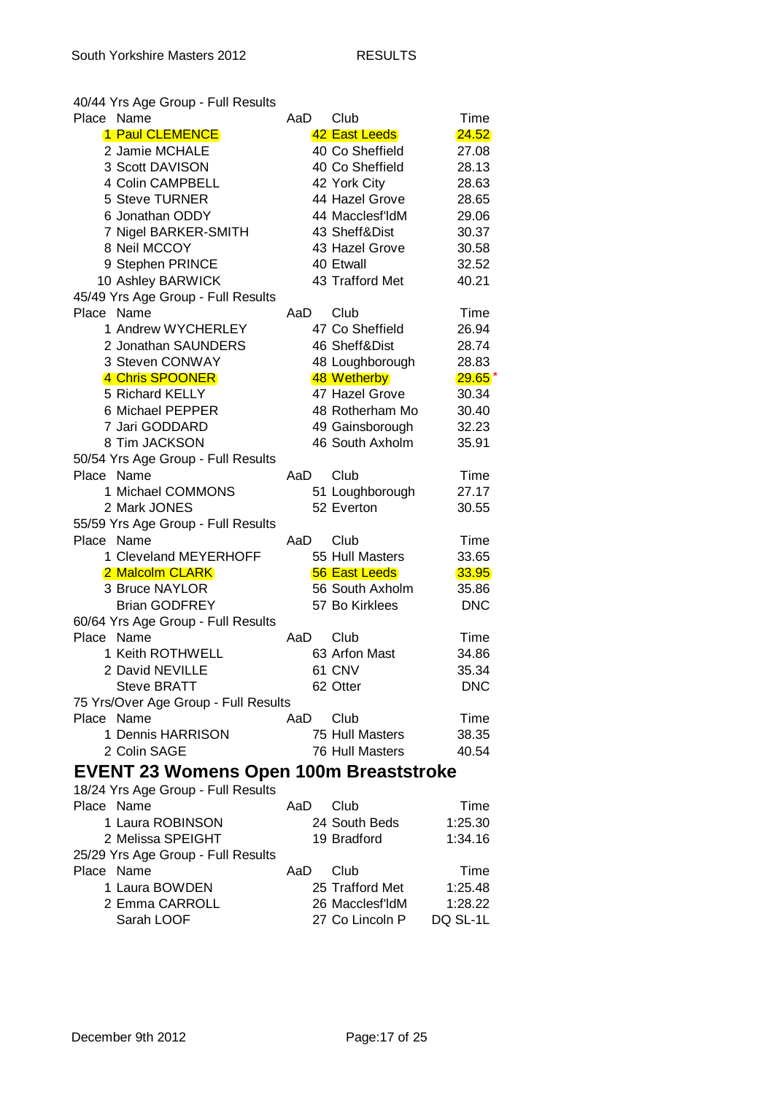40/44 Yrs Age Group - Full Results

| Place Name |                                               | AaD | Club                 | Time       |
|------------|-----------------------------------------------|-----|----------------------|------------|
|            | 1 Paul CLEMENCE                               |     | 42 East Leeds        | 24.52      |
|            | 2 Jamie MCHALE                                |     | 40 Co Sheffield      | 27.08      |
|            | 3 Scott DAVISON                               |     | 40 Co Sheffield      | 28.13      |
|            | 4 Colin CAMPBELL                              |     | 42 York City         | 28.63      |
|            | 5 Steve TURNER                                |     | 44 Hazel Grove       | 28.65      |
|            | 6 Jonathan ODDY                               |     | 44 Macclesf'ldM      | 29.06      |
|            | 7 Nigel BARKER-SMITH                          |     | 43 Sheff&Dist        | 30.37      |
|            | 8 Neil MCCOY                                  |     | 43 Hazel Grove       | 30.58      |
|            | 9 Stephen PRINCE                              |     | 40 Etwall            | 32.52      |
|            | 10 Ashley BARWICK                             |     | 43 Trafford Met      | 40.21      |
|            | 45/49 Yrs Age Group - Full Results            |     |                      |            |
| Place Name |                                               | AaD | Club                 | Time       |
|            | 1 Andrew WYCHERLEY                            |     | 47 Co Sheffield      | 26.94      |
|            | 2 Jonathan SAUNDERS                           |     | 46 Sheff&Dist        | 28.74      |
|            | 3 Steven CONWAY                               |     | 48 Loughborough      | 28.83      |
|            | 4 Chris SPOONER                               |     | 48 Wetherby          | $29.65*$   |
|            | 5 Richard KELLY                               |     | 47 Hazel Grove       | 30.34      |
|            | 6 Michael PEPPER                              |     | 48 Rotherham Mo      | 30.40      |
|            | 7 Jari GODDARD                                |     | 49 Gainsborough      | 32.23      |
|            | 8 Tim JACKSON                                 |     | 46 South Axholm      | 35.91      |
|            | 50/54 Yrs Age Group - Full Results            |     |                      |            |
| Place Name |                                               | AaD | Club                 | Time       |
|            | 1 Michael COMMONS                             |     | 51 Loughborough      | 27.17      |
|            | 2 Mark JONES                                  |     | 52 Everton           | 30.55      |
|            | 55/59 Yrs Age Group - Full Results            |     |                      |            |
| Place Name |                                               | AaD | Club                 | Time       |
|            | 1 Cleveland MEYERHOFF                         |     | 55 Hull Masters      | 33.65      |
|            | 2 Malcolm CLARK                               |     | <b>56 East Leeds</b> | 33.95      |
|            | 3 Bruce NAYLOR                                |     | 56 South Axholm      | 35.86      |
|            | <b>Brian GODFREY</b>                          |     | 57 Bo Kirklees       | <b>DNC</b> |
|            | 60/64 Yrs Age Group - Full Results            |     |                      |            |
| Place Name |                                               | AaD | Club                 | Time       |
|            | 1 Keith ROTHWELL                              |     | 63 Arfon Mast        | 34.86      |
|            | 2 David NEVILLE                               |     | 61 CNV               | 35.34      |
|            | <b>Steve BRATT</b>                            |     | 62 Otter             | <b>DNC</b> |
|            | 75 Yrs/Over Age Group - Full Results          |     |                      |            |
| Place Name |                                               | AaD | Club                 | Time       |
|            |                                               |     |                      |            |
|            | 1 Dennis HARRISON                             |     | 75 Hull Masters      | 38.35      |
|            | 2 Colin SAGE                                  |     | 76 Hull Masters      | 40.54      |
|            | <b>EVENT 23 Womens Open 100m Breaststroke</b> |     |                      |            |
|            | 18/24 Yrs Age Group - Full Results            |     |                      |            |
| Place Name |                                               | AaD | Club                 | Time       |
|            | 1 Laura ROBINSON                              |     | 24 South Beds        | 1:25.30    |
|            | 2 Melissa SPEIGHT                             |     | 19 Bradford          | 1:34.16    |
|            | 25/29 Yrs Age Group - Full Results            |     |                      |            |
| Place Name |                                               | AaD | Club                 | Time       |
|            | 1 Laura BOWDEN                                |     | 25 Trafford Met      | 1:25.48    |
|            | 2 Emma CARROLL                                |     | 26 Macclesf'ldM      | 1:28.22    |
|            | Sarah LOOF                                    |     | 27 Co Lincoln P      | DQ SL-1L   |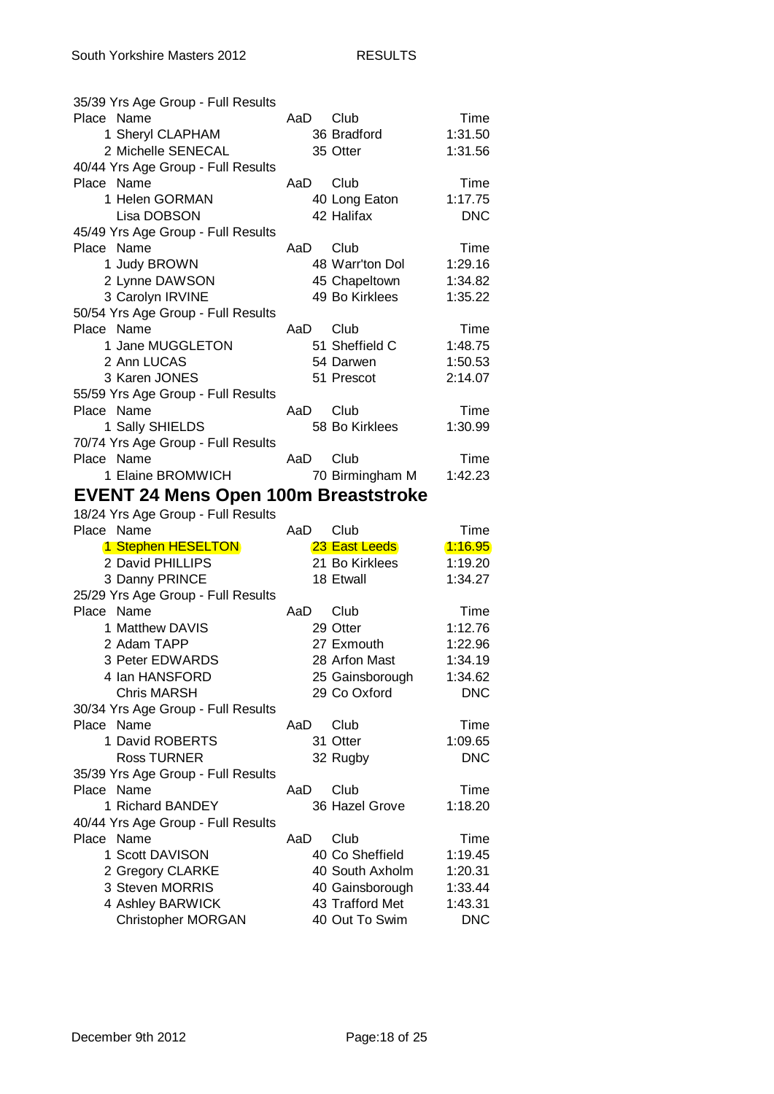| 35/39 Yrs Age Group - Full Results               |     |                                   |                       |
|--------------------------------------------------|-----|-----------------------------------|-----------------------|
| Place Name                                       | AaD | Club                              | Time                  |
| 1 Sheryl CLAPHAM                                 |     | 36 Bradford                       | 1:31.50               |
| 2 Michelle SENECAL                               |     | 35 Otter                          | 1:31.56               |
| 40/44 Yrs Age Group - Full Results               |     |                                   |                       |
| Place Name                                       | AaD | Club                              | Time                  |
| 1 Helen GORMAN                                   |     | 40 Long Eaton                     | 1:17.75               |
| Lisa DOBSON                                      |     | 42 Halifax                        | <b>DNC</b>            |
| 45/49 Yrs Age Group - Full Results               |     |                                   |                       |
| Place Name                                       | AaD | Club                              | Time                  |
| 1 Judy BROWN                                     |     | 48 Warr'ton Dol                   | 1:29.16               |
| 2 Lynne DAWSON                                   |     | 45 Chapeltown                     | 1:34.82               |
| 3 Carolyn IRVINE                                 |     | 49 Bo Kirklees                    | 1:35.22               |
| 50/54 Yrs Age Group - Full Results               |     |                                   |                       |
| Place Name                                       | AaD | Club                              | Time                  |
| 1 Jane MUGGLETON                                 |     | 51 Sheffield C                    | 1:48.75               |
| 2 Ann LUCAS                                      |     | 54 Darwen                         | 1:50.53               |
| 3 Karen JONES                                    |     | 51 Prescot                        | 2:14.07               |
| 55/59 Yrs Age Group - Full Results               |     |                                   |                       |
| Place Name                                       | AaD | Club                              | Time                  |
|                                                  |     | 58 Bo Kirklees                    |                       |
| 1 Sally SHIELDS                                  |     |                                   | 1:30.99               |
| 70/74 Yrs Age Group - Full Results               |     |                                   |                       |
| Place Name                                       | AaD | Club                              | Time                  |
| 1 Elaine BROMWICH                                |     | 70 Birmingham M                   | 1:42.23               |
| <b>EVENT 24 Mens Open 100m Breaststroke</b>      |     |                                   |                       |
|                                                  |     |                                   |                       |
| 18/24 Yrs Age Group - Full Results               |     |                                   |                       |
| Place Name                                       | AaD | Club                              | Time                  |
| 1 Stephen HESELTON                               |     | 23 East Leeds                     | 1:16.95               |
| 2 David PHILLIPS                                 |     | 21 Bo Kirklees                    | 1:19.20               |
|                                                  |     | 18 Etwall                         | 1:34.27               |
| 3 Danny PRINCE                                   |     |                                   |                       |
| 25/29 Yrs Age Group - Full Results<br>Place Name | AaD | Club                              |                       |
| 1 Matthew DAVIS                                  |     | 29 Otter                          | Time                  |
|                                                  |     |                                   | 1:12.76               |
| 2 Adam TAPP                                      |     | 27 Exmouth                        | 1:22.96               |
| 3 Peter EDWARDS                                  |     | 28 Arfon Mast                     | 1:34.19               |
| 4 Ian HANSFORD                                   |     | 25 Gainsborough                   | 1:34.62               |
| <b>Chris MARSH</b>                               |     | 29 Co Oxford                      | <b>DNC</b>            |
| 30/34 Yrs Age Group - Full Results               |     |                                   |                       |
| Place Name                                       | AaD | Club                              | Time                  |
| 1 David ROBERTS                                  |     | 31 Otter                          | 1:09.65               |
| <b>Ross TURNER</b>                               |     | 32 Rugby                          | <b>DNC</b>            |
| 35/39 Yrs Age Group - Full Results               |     |                                   |                       |
| Place Name                                       | AaD | Club                              | Time                  |
| 1 Richard BANDEY                                 |     | 36 Hazel Grove                    | 1:18.20               |
| 40/44 Yrs Age Group - Full Results               |     |                                   |                       |
| Place Name                                       | AaD | Club                              | Time                  |
| 1 Scott DAVISON                                  |     | 40 Co Sheffield                   | 1:19.45               |
| 2 Gregory CLARKE                                 |     | 40 South Axholm                   | 1:20.31               |
| 3 Steven MORRIS                                  |     | 40 Gainsborough                   | 1:33.44               |
| 4 Ashley BARWICK<br><b>Christopher MORGAN</b>    |     | 43 Trafford Met<br>40 Out To Swim | 1:43.31<br><b>DNC</b> |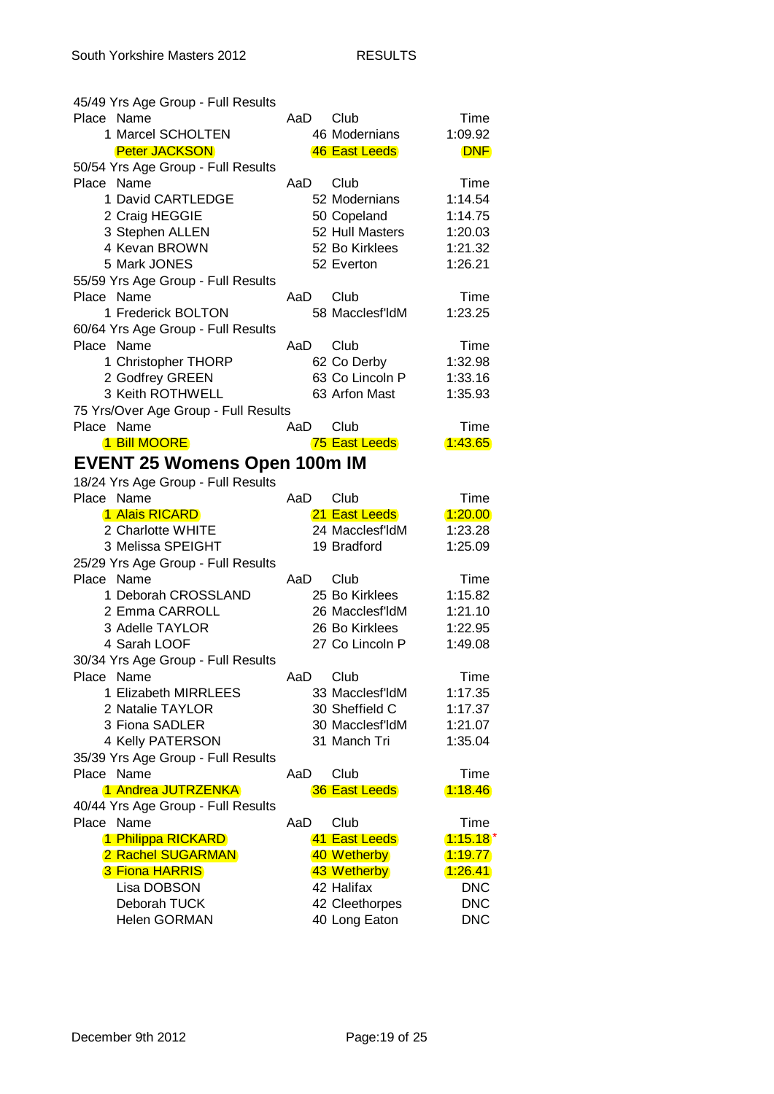| 45/49 Yrs Age Group - Full Results   |     |                      |            |
|--------------------------------------|-----|----------------------|------------|
| Place Name                           | AaD | Club                 | Time       |
| 1 Marcel SCHOLTEN                    |     | 46 Modernians        | 1:09.92    |
| <b>Peter JACKSON</b>                 |     | 46 East Leeds        | <b>DNF</b> |
| 50/54 Yrs Age Group - Full Results   |     |                      |            |
| Place Name                           | AaD | Club                 | Time       |
| 1 David CARTLEDGE                    |     | 52 Modernians        | 1:14.54    |
| 2 Craig HEGGIE                       |     | 50 Copeland          | 1:14.75    |
| 3 Stephen ALLEN                      |     | 52 Hull Masters      | 1:20.03    |
| 4 Kevan BROWN                        |     | 52 Bo Kirklees       | 1:21.32    |
| 5 Mark JONES                         |     | 52 Everton           | 1:26.21    |
| 55/59 Yrs Age Group - Full Results   |     |                      |            |
| Place Name                           | AaD | Club                 | Time       |
| 1 Frederick BOLTON                   |     | 58 Macclesf'ldM      | 1:23.25    |
| 60/64 Yrs Age Group - Full Results   |     |                      |            |
| Place Name                           | AaD | Club                 | Time       |
| 1 Christopher THORP                  |     | 62 Co Derby          | 1:32.98    |
| 2 Godfrey GREEN                      |     | 63 Co Lincoln P      | 1:33.16    |
| 3 Keith ROTHWELL                     |     | 63 Arfon Mast        | 1:35.93    |
| 75 Yrs/Over Age Group - Full Results |     |                      |            |
| Place Name                           | AaD | Club                 | Time       |
| 1 Bill MOORE                         |     | 75 East Leeds        | 1:43.65    |
| <b>EVENT 25 Womens Open 100m IM</b>  |     |                      |            |
| 18/24 Yrs Age Group - Full Results   |     |                      |            |
| Place Name                           | AaD | Club                 | Time       |
| 1 Alais RICARD                       |     | 21 East Leeds        | 1:20.00    |
| 2 Charlotte WHITE                    |     | 24 Macclesf'ldM      | 1:23.28    |
| 3 Melissa SPEIGHT                    |     | 19 Bradford          | 1:25.09    |
| 25/29 Yrs Age Group - Full Results   |     |                      |            |
| Place Name                           | AaD | Club                 | Time       |
| 1 Deborah CROSSLAND                  |     | 25 Bo Kirklees       | 1:15.82    |
| 2 Emma CARROLL                       |     | 26 Macclesf'ldM      | 1:21.10    |
| 3 Adelle TAYLOR                      |     | 26 Bo Kirklees       | 1:22.95    |
| 4 Sarah LOOF                         |     | 27 Co Lincoln P      | 1:49.08    |
| 30/34 Yrs Age Group - Full Results   |     |                      |            |
| Place Name                           | AaD | Club                 | Time       |
| 1 Elizabeth MIRRLEES                 |     | 33 Macclesf'ldM      | 1:17.35    |
| 2 Natalie TAYLOR                     |     | 30 Sheffield C       | 1:17.37    |
| 3 Fiona SADLER                       |     | 30 Macclesf'ldM      | 1:21.07    |
| 4 Kelly PATERSON                     |     | 31 Manch Tri         | 1:35.04    |
| 35/39 Yrs Age Group - Full Results   |     |                      |            |
| Place Name                           | AaD | Club                 | Time       |
| 1 Andrea JUTRZENKA                   |     | <b>36 East Leeds</b> | 1:18.46    |
| 40/44 Yrs Age Group - Full Results   |     |                      |            |
| Place Name                           | AaD | Club                 | Time       |
| 1 Philippa RICKARD                   |     | 41 East Leeds        | $1:15.18*$ |
| 2 Rachel SUGARMAN                    |     | 40 Wetherby          | (1.19.77)  |
| <b>3 Fiona HARRIS</b>                |     | 43 Wetherby          | (1.26.41)  |
| Lisa DOBSON                          |     | 42 Halifax           | <b>DNC</b> |
| Deborah TUCK                         |     | 42 Cleethorpes       | <b>DNC</b> |
| <b>Helen GORMAN</b>                  |     | 40 Long Eaton        | <b>DNC</b> |
|                                      |     |                      |            |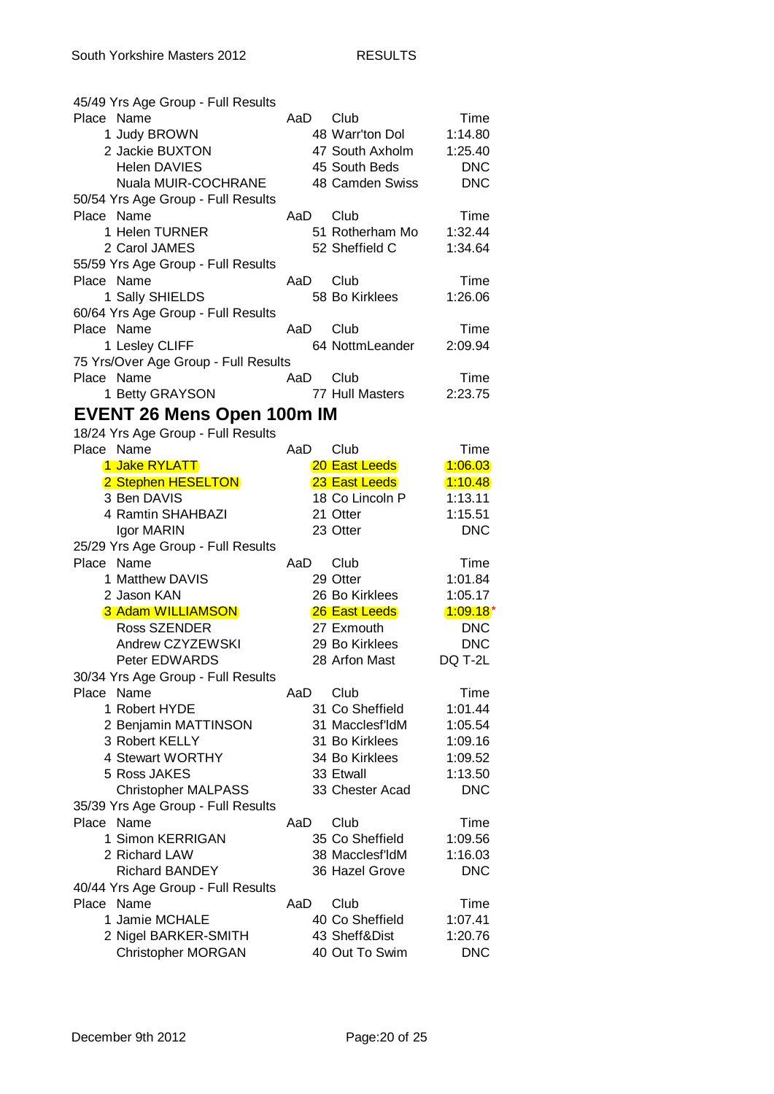| 45/49 Yrs Age Group - Full Results   |      |                 |            |
|--------------------------------------|------|-----------------|------------|
| Place Name                           | AaD. | Club            | Time       |
| 1 Judy BROWN                         |      | 48 Warr'ton Dol | 1:14.80    |
| 2 Jackie BUXTON                      |      | 47 South Axholm | 1:25.40    |
| <b>Helen DAVIES</b>                  |      | 45 South Beds   | <b>DNC</b> |
| <b>Nuala MUIR-COCHRANE</b>           |      | 48 Camden Swiss | <b>DNC</b> |
| 50/54 Yrs Age Group - Full Results   |      |                 |            |
| Place Name                           | AaD  | Club            | Time       |
| 1 Helen TURNER                       |      | 51 Rotherham Mo | 1:32.44    |
| 2 Carol JAMES                        |      | 52 Sheffield C  | 1:34.64    |
| 55/59 Yrs Age Group - Full Results   |      |                 |            |
| Place Name                           | AaD  | Club            | Time       |
| 1 Sally SHIELDS                      |      | 58 Bo Kirklees  | 1:26.06    |
|                                      |      |                 |            |
| 60/64 Yrs Age Group - Full Results   |      |                 |            |
| Place Name                           | AaD  | Club            | Time       |
| 1 Lesley CLIFF                       |      | 64 NottmLeander | 2:09.94    |
| 75 Yrs/Over Age Group - Full Results |      |                 |            |
| Place Name                           | AaD  | Club            | Time       |
| 1 Betty GRAYSON                      |      | 77 Hull Masters | 2:23.75    |
| <b>EVENT 26 Mens Open 100m IM</b>    |      |                 |            |
| 18/24 Yrs Age Group - Full Results   |      |                 |            |
| Place Name                           | AaD  | Club            | Time       |
| 1 Jake RYLATT                        |      | 20 East Leeds   | 1:06.03    |
| 2 Stephen HESELTON                   |      | 23 East Leeds   | 1:10.48    |
| 3 Ben DAVIS                          |      | 18 Co Lincoln P | 1:13.11    |
| 4 Ramtin SHAHBAZI                    |      | 21 Otter        | 1:15.51    |
| Igor MARIN                           |      | 23 Otter        | <b>DNC</b> |
| 25/29 Yrs Age Group - Full Results   |      |                 |            |
| Place Name                           | AaD  | Club            | Time       |
| 1 Matthew DAVIS                      |      | 29 Otter        | 1:01.84    |
|                                      |      |                 |            |
| 2 Jason KAN                          |      | 26 Bo Kirklees  | 1:05.17    |
| <b>3 Adam WILLIAMSON</b>             |      | 26 East Leeds   | $1:09.18*$ |
| Ross SZENDER                         |      | 27 Exmouth      | <b>DNC</b> |
| Andrew CZYZEWSKI                     |      | 29 Bo Kirklees  | <b>DNC</b> |
| Peter EDWARDS                        |      | 28 Arfon Mast   | DQ T-2L    |
| 30/34 Yrs Age Group - Full Results   |      |                 |            |
| Place Name                           | AaD  | Club            | Time       |
| 1 Robert HYDE                        |      | 31 Co Sheffield | 1:01.44    |
| 2 Benjamin MATTINSON                 |      | 31 Macclesf'ldM | 1:05.54    |
| 3 Robert KELLY                       |      | 31 Bo Kirklees  | 1:09.16    |
| 4 Stewart WORTHY                     |      | 34 Bo Kirklees  | 1:09.52    |
| 5 Ross JAKES                         |      | 33 Etwall       | 1:13.50    |
| <b>Christopher MALPASS</b>           |      | 33 Chester Acad | <b>DNC</b> |
| 35/39 Yrs Age Group - Full Results   |      |                 |            |
| Place Name                           | AaD  | Club            | Time       |
| 1 Simon KERRIGAN                     |      | 35 Co Sheffield | 1:09.56    |
| 2 Richard LAW                        |      | 38 Macclesf'ldM | 1:16.03    |
| <b>Richard BANDEY</b>                |      | 36 Hazel Grove  | <b>DNC</b> |
| 40/44 Yrs Age Group - Full Results   |      |                 |            |
| Place Name                           | AaD  | Club            | Time       |
| 1 Jamie MCHALE                       |      | 40 Co Sheffield | 1:07.41    |
| 2 Nigel BARKER-SMITH                 |      | 43 Sheff&Dist   | 1:20.76    |
| <b>Christopher MORGAN</b>            |      | 40 Out To Swim  | <b>DNC</b> |
|                                      |      |                 |            |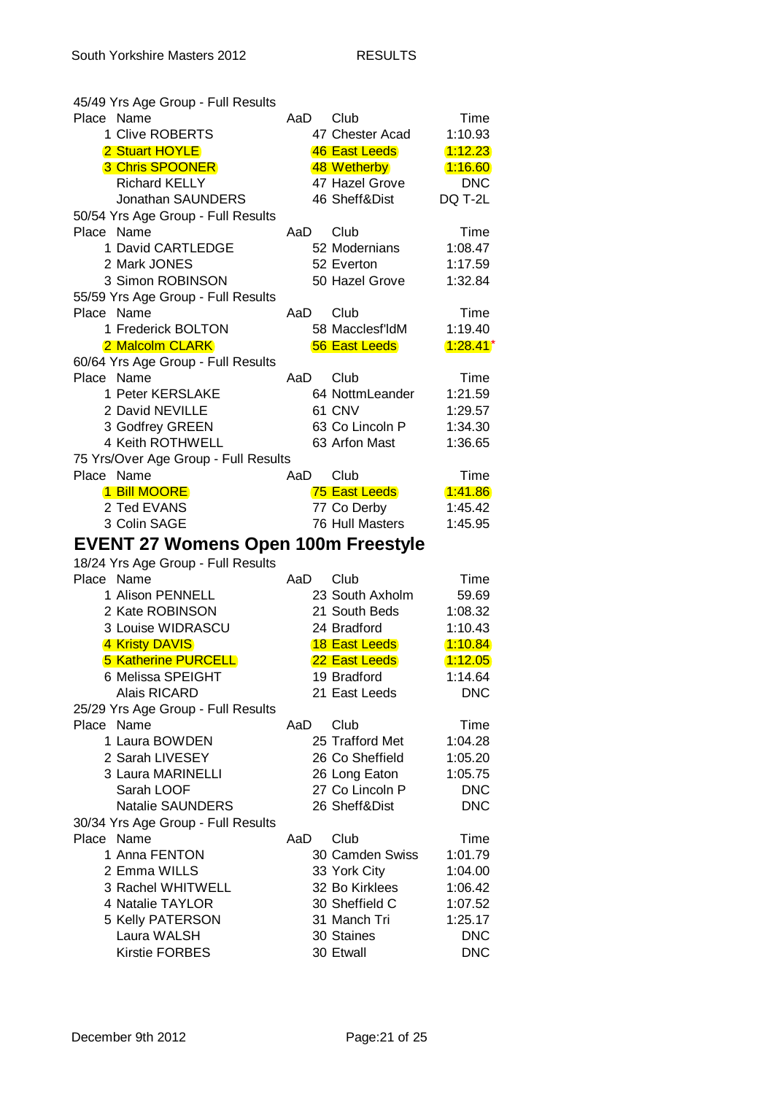| 45/49 Yrs Age Group - Full Results         |     |                         |                          |
|--------------------------------------------|-----|-------------------------|--------------------------|
| Place Name                                 | AaD | Club                    | Time                     |
| 1 Clive ROBERTS                            |     | 47 Chester Acad         | 1:10.93                  |
| 2 Stuart HOYLE                             |     | 46 East Leeds           | 1:12.23                  |
| <b>3 Chris SPOONER</b>                     |     | 48 Wetherby             | 1:16.60                  |
| <b>Richard KELLY</b>                       |     | 47 Hazel Grove          | <b>DNC</b>               |
| Jonathan SAUNDERS                          |     | 46 Sheff&Dist           | DQ T-2L                  |
| 50/54 Yrs Age Group - Full Results         |     |                         |                          |
| Place Name                                 | AaD | Club                    | Time                     |
| 1 David CARTLEDGE                          |     | 52 Modernians           | 1:08.47                  |
| 2 Mark JONES                               |     | 52 Everton              | 1:17.59                  |
| 3 Simon ROBINSON                           |     | 50 Hazel Grove          | 1:32.84                  |
|                                            |     |                         |                          |
| 55/59 Yrs Age Group - Full Results         |     |                         |                          |
| Place Name                                 | AaD | Club                    | Time                     |
| 1 Frederick BOLTON                         |     | 58 Macclesf'ldM         | 1:19.40                  |
| 2 Malcolm CLARK                            |     | <b>56 East Leeds</b>    | $1:28.41*$               |
| 60/64 Yrs Age Group - Full Results         |     |                         |                          |
| Place Name                                 | AaD | Club                    | Time                     |
| 1 Peter KERSLAKE                           |     | 64 NottmLeander         | 1:21.59                  |
| 2 David NEVILLE                            |     | 61 CNV                  | 1:29.57                  |
| 3 Godfrey GREEN                            |     | 63 Co Lincoln P         | 1:34.30                  |
| 4 Keith ROTHWELL                           |     | 63 Arfon Mast           | 1:36.65                  |
| 75 Yrs/Over Age Group - Full Results       |     |                         |                          |
| Place Name                                 | AaD | Club                    | Time                     |
| 1 Bill MOORE                               |     | 75 East Leeds           | 1.41.86                  |
| 2 Ted EVANS                                |     | 77 Co Derby             | 1:45.42                  |
| 3 Colin SAGE                               |     | 76 Hull Masters         | 1:45.95                  |
|                                            |     |                         |                          |
| <b>EVENT 27 Womens Open 100m Freestyle</b> |     |                         |                          |
| 18/24 Yrs Age Group - Full Results         |     |                         |                          |
| Place Name                                 | AaD | Club                    | Time                     |
| 1 Alison PENNELL                           |     | 23 South Axholm         | 59.69                    |
| 2 Kate ROBINSON                            |     | 21 South Beds           | 1:08.32                  |
| 3 Louise WIDRASCU                          |     | 24 Bradford             | 1:10.43                  |
| 4 Kristy DAVIS                             |     | <b>18 East Leeds</b>    | 1.10.84                  |
| <b>5 Katherine PURCELL</b>                 |     | 22 East Leeds           | 1:12.05                  |
| 6 Melissa SPEIGHT                          |     | 19 Bradford             | 1:14.64                  |
| <b>Alais RICARD</b>                        |     | 21 East Leeds           | <b>DNC</b>               |
| 25/29 Yrs Age Group - Full Results         |     |                         |                          |
| Place Name                                 | AaD | Club                    | Time                     |
| 1 Laura BOWDEN                             |     | 25 Trafford Met         | 1:04.28                  |
| 2 Sarah LIVESEY                            |     | 26 Co Sheffield         | 1:05.20                  |
| 3 Laura MARINELLI                          |     | 26 Long Eaton           | 1:05.75                  |
| Sarah LOOF                                 |     | 27 Co Lincoln P         | <b>DNC</b>               |
| <b>Natalie SAUNDERS</b>                    |     | 26 Sheff&Dist           | <b>DNC</b>               |
| 30/34 Yrs Age Group - Full Results         |     |                         |                          |
| Place Name                                 | AaD | Club                    | Time                     |
| 1 Anna FENTON                              |     | 30 Camden Swiss         | 1:01.79                  |
| 2 Emma WILLS                               |     | 33 York City            | 1:04.00                  |
| 3 Rachel WHITWELL                          |     | 32 Bo Kirklees          | 1:06.42                  |
| 4 Natalie TAYLOR                           |     | 30 Sheffield C          | 1:07.52                  |
| 5 Kelly PATERSON                           |     | 31 Manch Tri            | 1:25.17                  |
|                                            |     |                         |                          |
| Laura WALSH                                |     |                         |                          |
| <b>Kirstie FORBES</b>                      |     | 30 Staines<br>30 Etwall | <b>DNC</b><br><b>DNC</b> |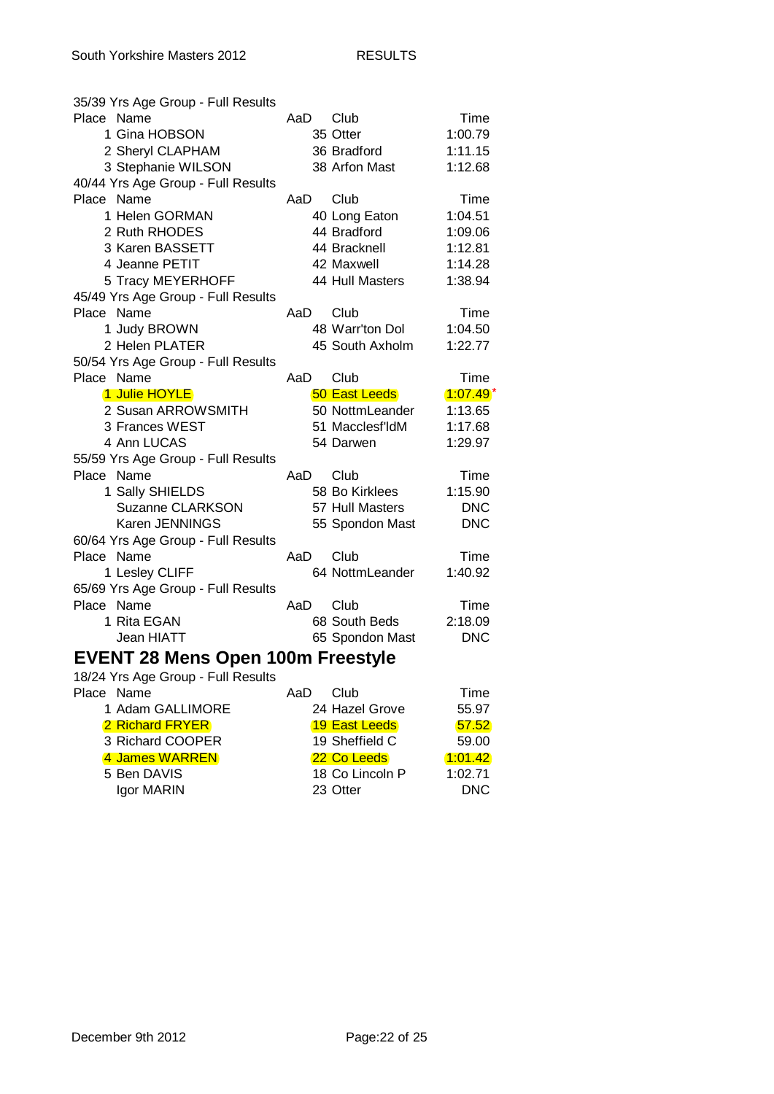| 35/39 Yrs Age Group - Full Results       |       |                      |            |  |
|------------------------------------------|-------|----------------------|------------|--|
| Place Name                               | AaD   | Club                 | Time       |  |
| 1 Gina HOBSON                            |       | 35 Otter             | 1:00.79    |  |
| 2 Sheryl CLAPHAM                         |       | 36 Bradford          | 1:11.15    |  |
| 3 Stephanie WILSON                       |       | 38 Arfon Mast        | 1:12.68    |  |
| 40/44 Yrs Age Group - Full Results       |       |                      |            |  |
| Place Name                               | AaD   | Club                 | Time       |  |
| 1 Helen GORMAN                           |       | 40 Long Eaton        | 1:04.51    |  |
| 2 Ruth RHODES                            |       | 44 Bradford          | 1:09.06    |  |
| 3 Karen BASSETT                          |       | 44 Bracknell         | 1:12.81    |  |
| 4 Jeanne PETIT                           |       | 42 Maxwell           | 1:14.28    |  |
| 5 Tracy MEYERHOFF                        |       | 44 Hull Masters      | 1:38.94    |  |
| 45/49 Yrs Age Group - Full Results       |       |                      |            |  |
| Place Name                               | AaD . | Club                 | Time       |  |
| 1 Judy BROWN                             |       | 48 Warr'ton Dol      | 1:04.50    |  |
| 2 Helen PLATER                           |       | 45 South Axholm      | 1:22.77    |  |
| 50/54 Yrs Age Group - Full Results       |       |                      |            |  |
| Place Name                               | AaD   | Club                 | Time       |  |
| 1 Julie HOYLE                            |       | <b>50 East Leeds</b> | $1:07.49*$ |  |
| 2 Susan ARROWSMITH                       |       | 50 NottmLeander      | 1:13.65    |  |
| 3 Frances WEST                           |       | 51 Macclesf'ldM      | 1:17.68    |  |
| 4 Ann LUCAS                              |       | 54 Darwen            | 1:29.97    |  |
| 55/59 Yrs Age Group - Full Results       |       |                      |            |  |
| Place Name                               | AaD   | Club                 | Time       |  |
| 1 Sally SHIELDS                          |       | 58 Bo Kirklees       | 1:15.90    |  |
| <b>Suzanne CLARKSON</b>                  |       | 57 Hull Masters      | <b>DNC</b> |  |
| Karen JENNINGS                           |       | 55 Spondon Mast      | <b>DNC</b> |  |
| 60/64 Yrs Age Group - Full Results       |       |                      |            |  |
| Place Name                               | AaD   | Club                 | Time       |  |
| 1 Lesley CLIFF                           |       | 64 NottmLeander      | 1:40.92    |  |
| 65/69 Yrs Age Group - Full Results       |       |                      |            |  |
| Place Name                               | AaD   | Club                 | Time       |  |
| 1 Rita EGAN                              |       | 68 South Beds        | 2:18.09    |  |
| Jean HIATT                               |       | 65 Spondon Mast      | <b>DNC</b> |  |
| <b>EVENT 28 Mens Open 100m Freestyle</b> |       |                      |            |  |
| 18/24 Yrs Age Group - Full Results       |       |                      |            |  |
| Place Name                               | AaD   | Club                 | Time       |  |
| 1 Adam GALLIMORE                         |       | 24 Hazel Grove       | 55.97      |  |
| 2 Richard FRYER                          |       | <b>19 East Leeds</b> | 57.52      |  |
| 3 Richard COOPER                         |       | 19 Sheffield C       | 59.00      |  |
| 4 James WARREN                           |       | 22 Co Leeds          | (1:01.42)  |  |
| 5 Ben DAVIS                              |       | 18 Co Lincoln P      | 1:02.71    |  |
| Igor MARIN                               |       | 23 Otter             | <b>DNC</b> |  |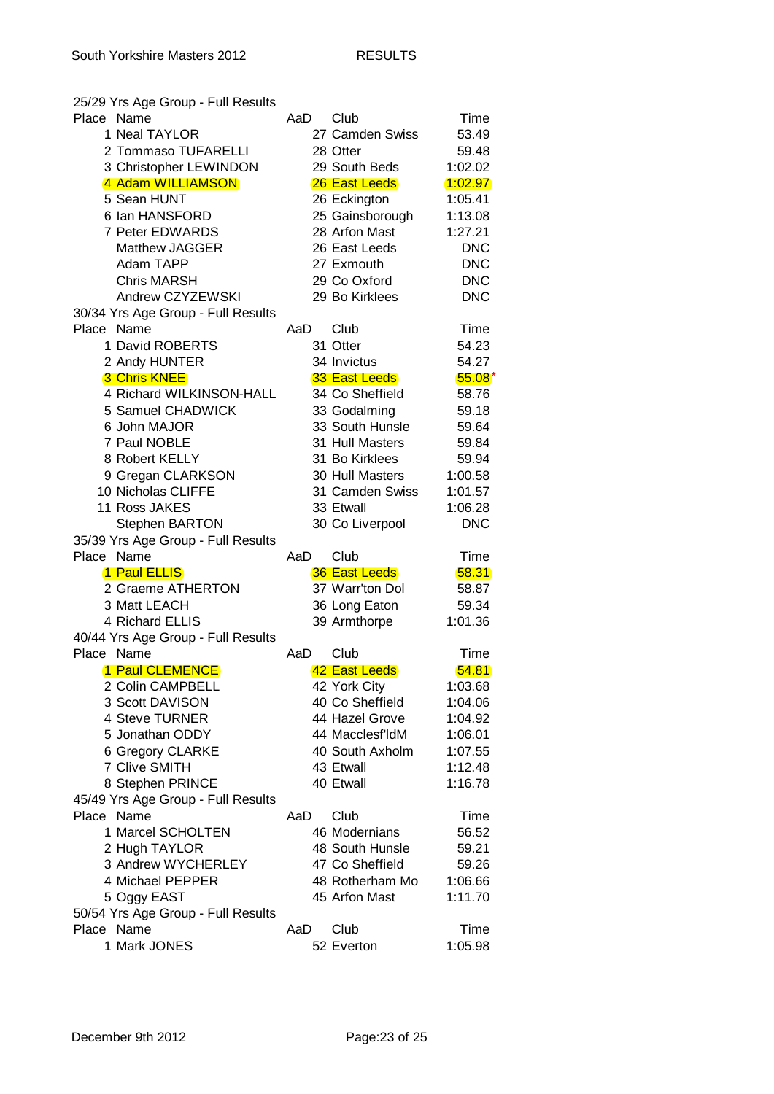|            | 25/29 Yrs Age Group - Full Results               |     |                      |                 |
|------------|--------------------------------------------------|-----|----------------------|-----------------|
| Place Name |                                                  | AaD | Club                 | Time            |
|            | 1 Neal TAYLOR                                    |     | 27 Camden Swiss      | 53.49           |
|            | 2 Tommaso TUFARELLI                              |     | 28 Otter             | 59.48           |
|            | 3 Christopher LEWINDON                           |     | 29 South Beds        | 1:02.02         |
|            | 4 Adam WILLIAMSON                                |     | 26 East Leeds        | 1:02.97         |
|            | 5 Sean HUNT                                      |     | 26 Eckington         | 1:05.41         |
|            | 6 Ian HANSFORD                                   |     | 25 Gainsborough      | 1:13.08         |
|            | 7 Peter EDWARDS                                  |     | 28 Arfon Mast        | 1:27.21         |
|            | <b>Matthew JAGGER</b>                            |     | 26 East Leeds        | <b>DNC</b>      |
|            | Adam TAPP                                        |     | 27 Exmouth           | <b>DNC</b>      |
|            | <b>Chris MARSH</b>                               |     | 29 Co Oxford         | <b>DNC</b>      |
|            | Andrew CZYZEWSKI                                 |     | 29 Bo Kirklees       | <b>DNC</b>      |
|            | 30/34 Yrs Age Group - Full Results               |     |                      |                 |
|            | Place Name                                       | AaD | Club                 | Time            |
|            | 1 David ROBERTS                                  |     | 31 Otter             | 54.23           |
|            |                                                  |     |                      |                 |
|            | 2 Andy HUNTER                                    |     | 34 Invictus          | 54.27           |
|            | <b>3 Chris KNEE</b>                              |     | 33 East Leeds        | $55.08*$        |
|            | 4 Richard WILKINSON-HALL                         |     | 34 Co Sheffield      | 58.76           |
|            | 5 Samuel CHADWICK                                |     | 33 Godalming         | 59.18           |
|            | 6 John MAJOR                                     |     | 33 South Hunsle      | 59.64           |
|            | 7 Paul NOBLE                                     |     | 31 Hull Masters      | 59.84           |
|            | 8 Robert KELLY                                   |     | 31 Bo Kirklees       | 59.94           |
|            | 9 Gregan CLARKSON                                |     | 30 Hull Masters      | 1:00.58         |
|            | 10 Nicholas CLIFFE                               |     | 31 Camden Swiss      | 1:01.57         |
|            | 11 Ross JAKES                                    |     | 33 Etwall            | 1:06.28         |
|            | <b>Stephen BARTON</b>                            |     | 30 Co Liverpool      | <b>DNC</b>      |
|            | 35/39 Yrs Age Group - Full Results               |     |                      |                 |
|            | Place Name                                       | AaD | Club                 | Time            |
|            |                                                  |     |                      |                 |
|            | 1 Paul ELLIS                                     |     | <b>36 East Leeds</b> | 58.31           |
|            | 2 Graeme ATHERTON                                |     | 37 Warr'ton Dol      | 58.87           |
|            | 3 Matt LEACH                                     |     | 36 Long Eaton        | 59.34           |
|            | 4 Richard ELLIS                                  |     | 39 Armthorpe         | 1:01.36         |
|            | 40/44 Yrs Age Group - Full Results               |     |                      |                 |
| Place Name |                                                  | AaD | Club                 | Time            |
|            | <b>1 Paul CLEMENCE</b>                           |     | 42 East Leeds        | 54.81           |
|            | 2 Colin CAMPBELL                                 |     | 42 York City         | 1:03.68         |
|            | 3 Scott DAVISON                                  |     | 40 Co Sheffield      | 1:04.06         |
|            | 4 Steve TURNER                                   |     | 44 Hazel Grove       | 1:04.92         |
|            | 5 Jonathan ODDY                                  |     | 44 Macclesf'ldM      | 1:06.01         |
|            | 6 Gregory CLARKE                                 |     | 40 South Axholm      | 1:07.55         |
|            | 7 Clive SMITH                                    |     | 43 Etwall            | 1:12.48         |
|            |                                                  |     | 40 Etwall            | 1:16.78         |
|            | 8 Stephen PRINCE                                 |     |                      |                 |
|            | 45/49 Yrs Age Group - Full Results<br>Place Name | AaD | Club                 |                 |
|            |                                                  |     |                      | Time            |
|            | 1 Marcel SCHOLTEN                                |     | 46 Modernians        | 56.52           |
|            | 2 Hugh TAYLOR                                    |     | 48 South Hunsle      | 59.21           |
|            | 3 Andrew WYCHERLEY                               |     | 47 Co Sheffield      | 59.26           |
|            | 4 Michael PEPPER                                 |     | 48 Rotherham Mo      | 1:06.66         |
|            | 5 Oggy EAST                                      |     | 45 Arfon Mast        | 1:11.70         |
|            | 50/54 Yrs Age Group - Full Results               |     |                      |                 |
|            | Place Name<br>1 Mark JONES                       | AaD | Club<br>52 Everton   | Time<br>1:05.98 |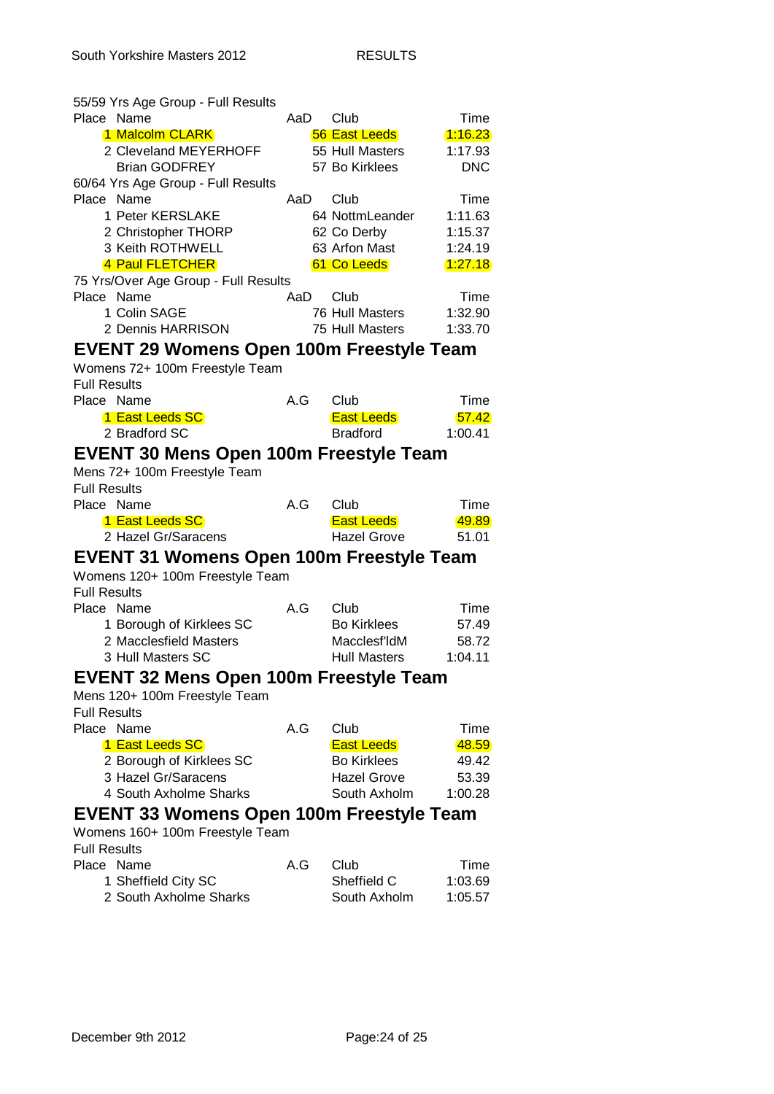| 55/59 Yrs Age Group - Full Results              |     |                             |                    |
|-------------------------------------------------|-----|-----------------------------|--------------------|
| Place Name                                      | AaD | Club                        | Time               |
| 1 Malcolm CLARK                                 |     | 56 East Leeds               | 1:16.23            |
| 2 Cleveland MEYERHOFF                           |     | 55 Hull Masters             | 1:17.93            |
| <b>Brian GODFREY</b>                            |     | 57 Bo Kirklees              | <b>DNC</b>         |
| 60/64 Yrs Age Group - Full Results              |     |                             |                    |
| Place Name                                      | AaD | Club                        | Time               |
| 1 Peter KERSLAKE                                |     | 64 NottmLeander             | 1:11.63            |
| 2 Christopher THORP                             |     | 62 Co Derby                 | 1:15.37            |
| 3 Keith ROTHWELL                                |     | 63 Arfon Mast               | 1:24.19            |
| 4 Paul FLETCHER                                 |     | 61 Co Leeds                 | 1.27.18            |
| 75 Yrs/Over Age Group - Full Results            |     |                             |                    |
| Place Name                                      | AaD | Club                        | Time               |
| 1 Colin SAGE                                    |     | 76 Hull Masters             | 1:32.90            |
| 2 Dennis HARRISON                               |     | 75 Hull Masters             | 1:33.70            |
| <b>EVENT 29 Womens Open 100m Freestyle Team</b> |     |                             |                    |
| Womens 72+ 100m Freestyle Team                  |     |                             |                    |
| <b>Full Results</b>                             |     |                             |                    |
| Place Name                                      | A.G | Club                        | Time               |
|                                                 |     |                             |                    |
| 1 East Leeds SC<br>2 Bradford SC                |     | <b>East Leeds</b>           | 57.42              |
|                                                 |     | <b>Bradford</b>             | 1:00.41            |
| <b>EVENT 30 Mens Open 100m Freestyle Team</b>   |     |                             |                    |
| Mens 72+ 100m Freestyle Team                    |     |                             |                    |
| <b>Full Results</b>                             |     |                             |                    |
|                                                 |     |                             |                    |
| Place Name                                      | A.G | Club                        | Time               |
| 1 East Leeds SC                                 |     | <b>East Leeds</b>           | 49.89              |
| 2 Hazel Gr/Saracens                             |     | <b>Hazel Grove</b>          | 51.01              |
|                                                 |     |                             |                    |
| <b>EVENT 31 Womens Open 100m Freestyle Team</b> |     |                             |                    |
| Womens 120+ 100m Freestyle Team                 |     |                             |                    |
| <b>Full Results</b>                             |     |                             |                    |
| Place Name                                      | A.G | Club                        | Time               |
| 1 Borough of Kirklees SC                        |     | <b>Bo Kirklees</b>          | 57.49              |
| 2 Macclesfield Masters                          |     | Macclesf'ldM                | 58.72              |
| 3 Hull Masters SC                               |     | <b>Hull Masters</b>         | 1:04.11            |
| <b>EVENT 32 Mens Open 100m Freestyle Team</b>   |     |                             |                    |
| Mens 120+ 100m Freestyle Team                   |     |                             |                    |
| <b>Full Results</b>                             |     |                             |                    |
| Place Name                                      | A.G | Club                        | Time               |
| 1 East Leeds SC                                 |     | <b>East Leeds</b>           | 48.59              |
|                                                 |     | <b>Bo Kirklees</b>          |                    |
| 2 Borough of Kirklees SC<br>3 Hazel Gr/Saracens |     | <b>Hazel Grove</b>          | 49.42<br>53.39     |
| 4 South Axholme Sharks                          |     | South Axholm                |                    |
|                                                 |     |                             | 1:00.28            |
| EVENT 33 Womens Open 100m Freestyle Team        |     |                             |                    |
| Womens 160+ 100m Freestyle Team                 |     |                             |                    |
| <b>Full Results</b>                             |     |                             |                    |
| Place Name                                      | A.G | Club                        | Time               |
| 1 Sheffield City SC<br>2 South Axholme Sharks   |     | Sheffield C<br>South Axholm | 1:03.69<br>1:05.57 |